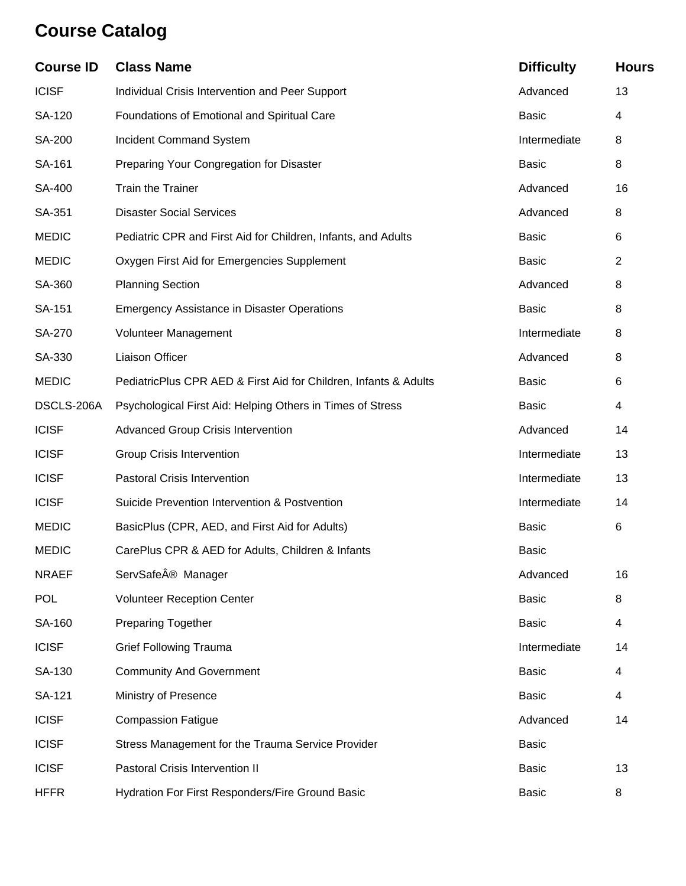# **Course Catalog**

| <b>Course ID</b> | <b>Class Name</b>                                                | <b>Difficulty</b> | <b>Hours</b>   |
|------------------|------------------------------------------------------------------|-------------------|----------------|
| <b>ICISF</b>     | Individual Crisis Intervention and Peer Support                  | Advanced          | 13             |
| SA-120           | Foundations of Emotional and Spiritual Care                      | <b>Basic</b>      | 4              |
| SA-200           | <b>Incident Command System</b>                                   | Intermediate      | 8              |
| SA-161           | Preparing Your Congregation for Disaster                         | <b>Basic</b>      | 8              |
| SA-400           | Train the Trainer                                                | Advanced          | 16             |
| SA-351           | <b>Disaster Social Services</b>                                  | Advanced          | 8              |
| <b>MEDIC</b>     | Pediatric CPR and First Aid for Children, Infants, and Adults    | <b>Basic</b>      | 6              |
| <b>MEDIC</b>     | Oxygen First Aid for Emergencies Supplement                      | <b>Basic</b>      | $\overline{2}$ |
| SA-360           | <b>Planning Section</b>                                          | Advanced          | 8              |
| SA-151           | <b>Emergency Assistance in Disaster Operations</b>               | <b>Basic</b>      | 8              |
| SA-270           | Volunteer Management                                             | Intermediate      | 8              |
| SA-330           | <b>Liaison Officer</b>                                           | Advanced          | 8              |
| <b>MEDIC</b>     | PediatricPlus CPR AED & First Aid for Children, Infants & Adults | <b>Basic</b>      | 6              |
| DSCLS-206A       | Psychological First Aid: Helping Others in Times of Stress       | <b>Basic</b>      | 4              |
| <b>ICISF</b>     | <b>Advanced Group Crisis Intervention</b>                        | Advanced          | 14             |
| <b>ICISF</b>     | <b>Group Crisis Intervention</b>                                 | Intermediate      | 13             |
| <b>ICISF</b>     | <b>Pastoral Crisis Intervention</b>                              | Intermediate      | 13             |
| <b>ICISF</b>     | Suicide Prevention Intervention & Postvention                    | Intermediate      | 14             |
| <b>MEDIC</b>     | BasicPlus (CPR, AED, and First Aid for Adults)                   | <b>Basic</b>      | 6              |
| <b>MEDIC</b>     | CarePlus CPR & AED for Adults, Children & Infants                | <b>Basic</b>      |                |
| <b>NRAEF</b>     | ServSafe® Manager                                                | Advanced          | 16             |
| <b>POL</b>       | <b>Volunteer Reception Center</b>                                | <b>Basic</b>      | 8              |
| SA-160           | <b>Preparing Together</b>                                        | <b>Basic</b>      | 4              |
| <b>ICISF</b>     | <b>Grief Following Trauma</b>                                    | Intermediate      | 14             |
| SA-130           | <b>Community And Government</b>                                  | <b>Basic</b>      | 4              |
| SA-121           | Ministry of Presence                                             | <b>Basic</b>      | 4              |
| <b>ICISF</b>     | <b>Compassion Fatigue</b>                                        | Advanced          | 14             |
| <b>ICISF</b>     | Stress Management for the Trauma Service Provider                | <b>Basic</b>      |                |
| <b>ICISF</b>     | Pastoral Crisis Intervention II                                  | <b>Basic</b>      | 13             |
| <b>HFFR</b>      | Hydration For First Responders/Fire Ground Basic                 | <b>Basic</b>      | 8              |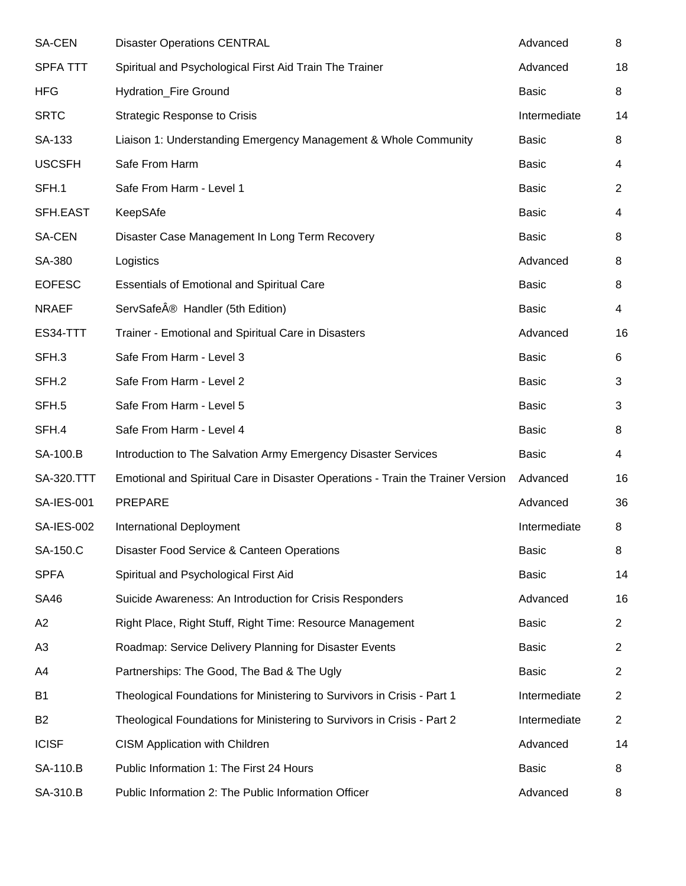| <b>SA-CEN</b>     | <b>Disaster Operations CENTRAL</b>                                              | Advanced     | 8              |
|-------------------|---------------------------------------------------------------------------------|--------------|----------------|
| <b>SPFA TTT</b>   | Spiritual and Psychological First Aid Train The Trainer                         | Advanced     | 18             |
| <b>HFG</b>        | <b>Hydration_Fire Ground</b>                                                    | <b>Basic</b> | 8              |
| <b>SRTC</b>       | <b>Strategic Response to Crisis</b>                                             | Intermediate | 14             |
| SA-133            | Liaison 1: Understanding Emergency Management & Whole Community                 | <b>Basic</b> | 8              |
| <b>USCSFH</b>     | Safe From Harm                                                                  | <b>Basic</b> | 4              |
| SFH.1             | Safe From Harm - Level 1                                                        | <b>Basic</b> | $\overline{2}$ |
| SFH.EAST          | KeepSAfe                                                                        | <b>Basic</b> | 4              |
| SA-CEN            | Disaster Case Management In Long Term Recovery                                  | <b>Basic</b> | 8              |
| SA-380            | Logistics                                                                       | Advanced     | 8              |
| <b>EOFESC</b>     | <b>Essentials of Emotional and Spiritual Care</b>                               | <b>Basic</b> | 8              |
| <b>NRAEF</b>      | ServSafeÂ <sup>®</sup> Handler (5th Edition)                                    | <b>Basic</b> | 4              |
| ES34-TTT          | Trainer - Emotional and Spiritual Care in Disasters                             | Advanced     | 16             |
| SFH.3             | Safe From Harm - Level 3                                                        | <b>Basic</b> | 6              |
| SFH.2             | Safe From Harm - Level 2                                                        | <b>Basic</b> | 3              |
| SFH.5             | Safe From Harm - Level 5                                                        | <b>Basic</b> | 3              |
| SFH.4             | Safe From Harm - Level 4                                                        | <b>Basic</b> | 8              |
| SA-100.B          | Introduction to The Salvation Army Emergency Disaster Services                  | <b>Basic</b> | 4              |
| <b>SA-320.TTT</b> | Emotional and Spiritual Care in Disaster Operations - Train the Trainer Version | Advanced     | 16             |
| <b>SA-IES-001</b> | <b>PREPARE</b>                                                                  | Advanced     | 36             |
| <b>SA-IES-002</b> | International Deployment                                                        | Intermediate | 8              |
| SA-150.C          | Disaster Food Service & Canteen Operations                                      | <b>Basic</b> | 8              |
| <b>SPFA</b>       | Spiritual and Psychological First Aid                                           | Basic        | 14             |
| <b>SA46</b>       | Suicide Awareness: An Introduction for Crisis Responders                        | Advanced     | 16             |
| A <sub>2</sub>    | Right Place, Right Stuff, Right Time: Resource Management                       | <b>Basic</b> | $\overline{2}$ |
| A3                | Roadmap: Service Delivery Planning for Disaster Events                          | Basic        | 2              |
| A4                | Partnerships: The Good, The Bad & The Ugly                                      | <b>Basic</b> | $\overline{2}$ |
| B1                | Theological Foundations for Ministering to Survivors in Crisis - Part 1         | Intermediate | $\overline{2}$ |
| B <sub>2</sub>    | Theological Foundations for Ministering to Survivors in Crisis - Part 2         | Intermediate | $\overline{2}$ |
| <b>ICISF</b>      | <b>CISM Application with Children</b>                                           | Advanced     | 14             |
| SA-110.B          | Public Information 1: The First 24 Hours                                        | <b>Basic</b> | 8              |
| SA-310.B          | Public Information 2: The Public Information Officer                            | Advanced     | 8              |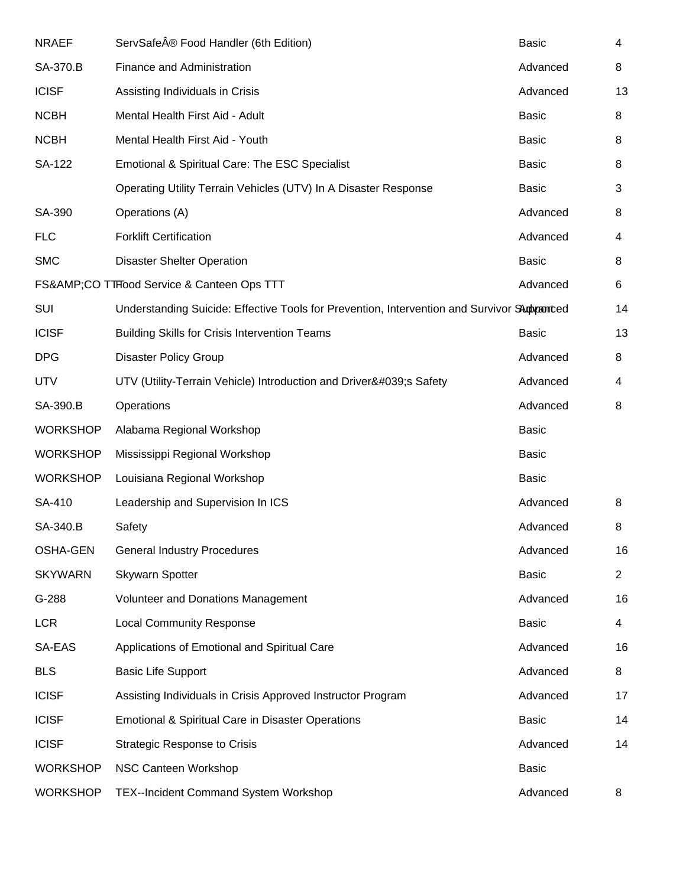| <b>NRAEF</b>    | ServSafe® Food Handler (6th Edition)                                                        | <b>Basic</b> | 4              |
|-----------------|---------------------------------------------------------------------------------------------|--------------|----------------|
| SA-370.B        | Finance and Administration                                                                  | Advanced     | 8              |
| <b>ICISF</b>    | Assisting Individuals in Crisis                                                             | Advanced     | 13             |
| <b>NCBH</b>     | Mental Health First Aid - Adult                                                             | <b>Basic</b> | 8              |
| <b>NCBH</b>     | Mental Health First Aid - Youth                                                             | <b>Basic</b> | 8              |
| SA-122          | Emotional & Spiritual Care: The ESC Specialist                                              | <b>Basic</b> | 8              |
|                 | Operating Utility Terrain Vehicles (UTV) In A Disaster Response                             | <b>Basic</b> | 3              |
| SA-390          | Operations (A)                                                                              | Advanced     | 8              |
| <b>FLC</b>      | <b>Forklift Certification</b>                                                               | Advanced     | 4              |
| <b>SMC</b>      | <b>Disaster Shelter Operation</b>                                                           | <b>Basic</b> | 8              |
|                 | FS&CO TTHood Service & Canteen Ops TTT                                                      | Advanced     | 6              |
| <b>SUI</b>      | Understanding Suicide: Effective Tools for Prevention, Intervention and Survivor SAmpranted |              | 14             |
| <b>ICISF</b>    | <b>Building Skills for Crisis Intervention Teams</b>                                        | <b>Basic</b> | 13             |
| <b>DPG</b>      | <b>Disaster Policy Group</b>                                                                | Advanced     | 8              |
| <b>UTV</b>      | UTV (Utility-Terrain Vehicle) Introduction and Driver's Safety                              | Advanced     | 4              |
| SA-390.B        | Operations                                                                                  | Advanced     | 8              |
| <b>WORKSHOP</b> | Alabama Regional Workshop                                                                   | <b>Basic</b> |                |
| <b>WORKSHOP</b> | Mississippi Regional Workshop                                                               | <b>Basic</b> |                |
| <b>WORKSHOP</b> | Louisiana Regional Workshop                                                                 | <b>Basic</b> |                |
| SA-410          | Leadership and Supervision In ICS                                                           | Advanced     | 8              |
| SA-340.B        | Safety                                                                                      | Advanced     | 8              |
| <b>OSHA-GEN</b> | <b>General Industry Procedures</b>                                                          | Advanced     | 16             |
| <b>SKYWARN</b>  | <b>Skywarn Spotter</b>                                                                      | <b>Basic</b> | $\overline{2}$ |
| G-288           | Volunteer and Donations Management                                                          | Advanced     | 16             |
| <b>LCR</b>      | <b>Local Community Response</b>                                                             | <b>Basic</b> | 4              |
| SA-EAS          | Applications of Emotional and Spiritual Care                                                | Advanced     | 16             |
| <b>BLS</b>      | <b>Basic Life Support</b>                                                                   | Advanced     | 8              |
| <b>ICISF</b>    | Assisting Individuals in Crisis Approved Instructor Program                                 | Advanced     | 17             |
| <b>ICISF</b>    | Emotional & Spiritual Care in Disaster Operations                                           | <b>Basic</b> | 14             |
| <b>ICISF</b>    | <b>Strategic Response to Crisis</b>                                                         | Advanced     | 14             |
| <b>WORKSHOP</b> | NSC Canteen Workshop                                                                        | <b>Basic</b> |                |
| <b>WORKSHOP</b> | TEX--Incident Command System Workshop                                                       | Advanced     | 8              |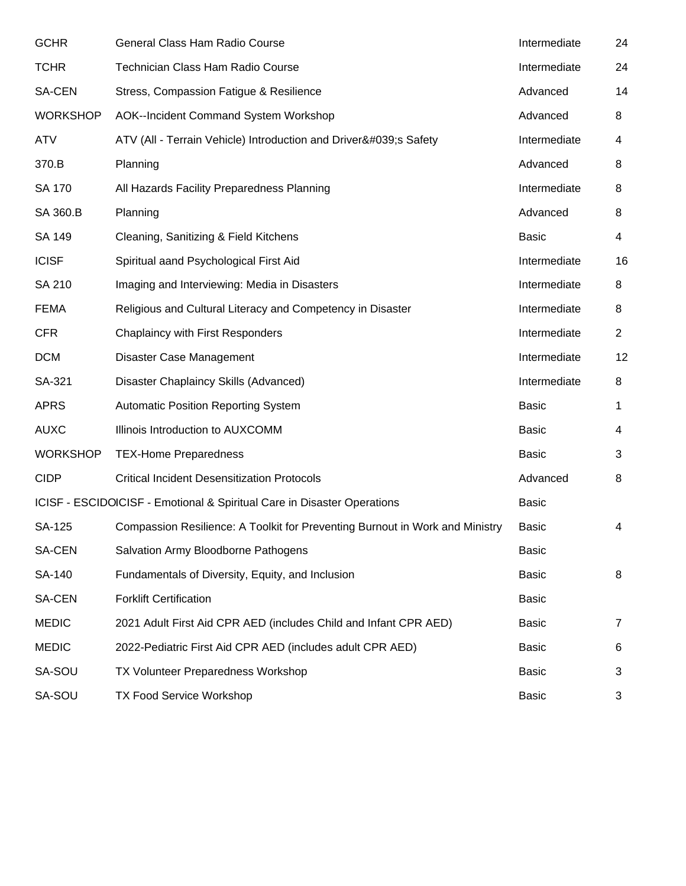| <b>GCHR</b>     | General Class Ham Radio Course                                               | Intermediate | 24             |
|-----------------|------------------------------------------------------------------------------|--------------|----------------|
| <b>TCHR</b>     | Technician Class Ham Radio Course                                            | Intermediate | 24             |
| SA-CEN          | Stress, Compassion Fatigue & Resilience                                      | Advanced     | 14             |
| <b>WORKSHOP</b> | AOK--Incident Command System Workshop                                        | Advanced     | 8              |
| <b>ATV</b>      | ATV (All - Terrain Vehicle) Introduction and Driver's Safety                 | Intermediate | 4              |
| 370.B           | Planning                                                                     | Advanced     | 8              |
| SA 170          | All Hazards Facility Preparedness Planning                                   | Intermediate | 8              |
| SA 360.B        | Planning                                                                     | Advanced     | 8              |
| SA 149          | Cleaning, Sanitizing & Field Kitchens                                        | <b>Basic</b> | 4              |
| <b>ICISF</b>    | Spiritual aand Psychological First Aid                                       | Intermediate | 16             |
| SA 210          | Imaging and Interviewing: Media in Disasters                                 | Intermediate | 8              |
| <b>FEMA</b>     | Religious and Cultural Literacy and Competency in Disaster                   | Intermediate | 8              |
| <b>CFR</b>      | <b>Chaplaincy with First Responders</b>                                      | Intermediate | $\overline{2}$ |
| <b>DCM</b>      | Disaster Case Management                                                     | Intermediate | 12             |
| SA-321          | Disaster Chaplaincy Skills (Advanced)                                        | Intermediate | 8              |
| <b>APRS</b>     | <b>Automatic Position Reporting System</b>                                   | <b>Basic</b> | 1              |
| <b>AUXC</b>     | Illinois Introduction to AUXCOMM                                             | <b>Basic</b> | 4              |
| <b>WORKSHOP</b> | <b>TEX-Home Preparedness</b>                                                 | <b>Basic</b> | 3              |
| <b>CIDP</b>     | <b>Critical Incident Desensitization Protocols</b>                           | Advanced     | 8              |
|                 | ICISF - ESCIDOICISF - Emotional & Spiritual Care in Disaster Operations      | <b>Basic</b> |                |
| SA-125          | Compassion Resilience: A Toolkit for Preventing Burnout in Work and Ministry | <b>Basic</b> | 4              |
| SA-CEN          | Salvation Army Bloodborne Pathogens                                          | Basic        |                |
| SA-140          | Fundamentals of Diversity, Equity, and Inclusion                             | Basic        | 8              |
| SA-CEN          | <b>Forklift Certification</b>                                                | <b>Basic</b> |                |
| <b>MEDIC</b>    | 2021 Adult First Aid CPR AED (includes Child and Infant CPR AED)             | Basic        | 7              |
| <b>MEDIC</b>    | 2022-Pediatric First Aid CPR AED (includes adult CPR AED)                    | <b>Basic</b> | 6              |
| SA-SOU          | TX Volunteer Preparedness Workshop                                           | Basic        | 3              |
| SA-SOU          | TX Food Service Workshop                                                     | <b>Basic</b> | 3              |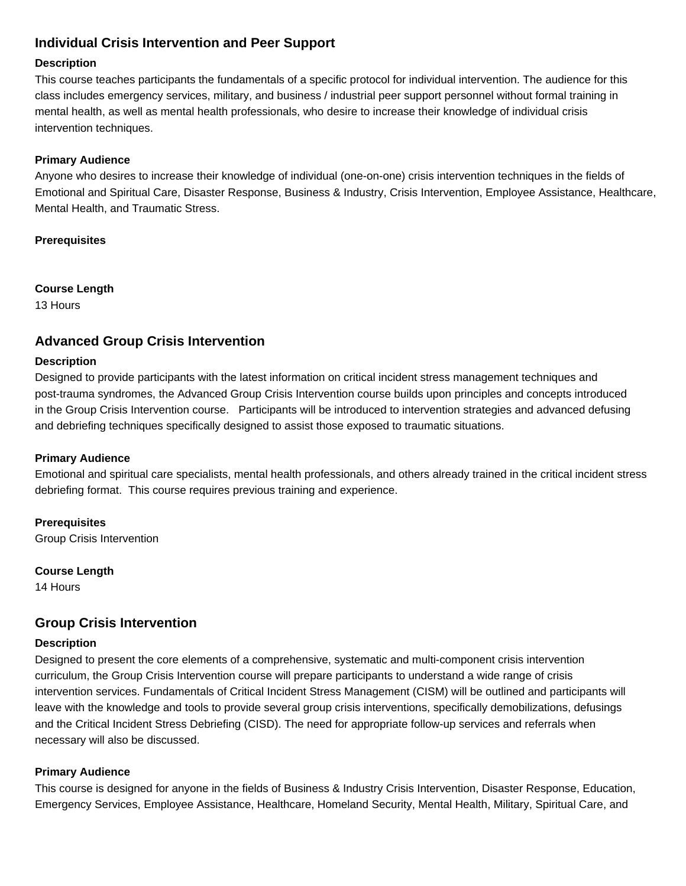# **Individual Crisis Intervention and Peer Support**

### **Description**

This course teaches participants the fundamentals of a specific protocol for individual intervention. The audience for this class includes emergency services, military, and business / industrial peer support personnel without formal training in mental health, as well as mental health professionals, who desire to increase their knowledge of individual crisis intervention techniques.

### **Primary Audience**

Anyone who desires to increase their knowledge of individual (one-on-one) crisis intervention techniques in the fields of Emotional and Spiritual Care, Disaster Response, Business & Industry, Crisis Intervention, Employee Assistance, Healthcare, Mental Health, and Traumatic Stress.

### **Prerequisites**

**Course Length**

13 Hours

# **Advanced Group Crisis Intervention**

### **Description**

Designed to provide participants with the latest information on critical incident stress management techniques and post-trauma syndromes, the Advanced Group Crisis Intervention course builds upon principles and concepts introduced in the Group Crisis Intervention course. Participants will be introduced to intervention strategies and advanced defusing and debriefing techniques specifically designed to assist those exposed to traumatic situations.

### **Primary Audience**

Emotional and spiritual care specialists, mental health professionals, and others already trained in the critical incident stress debriefing format. This course requires previous training and experience.

**Prerequisites** Group Crisis Intervention

**Course Length**

14 Hours

# **Group Crisis Intervention**

### **Description**

Designed to present the core elements of a comprehensive, systematic and multi-component crisis intervention curriculum, the Group Crisis Intervention course will prepare participants to understand a wide range of crisis intervention services. Fundamentals of Critical Incident Stress Management (CISM) will be outlined and participants will leave with the knowledge and tools to provide several group crisis interventions, specifically demobilizations, defusings and the Critical Incident Stress Debriefing (CISD). The need for appropriate follow-up services and referrals when necessary will also be discussed.

# **Primary Audience**

This course is designed for anyone in the fields of Business & Industry Crisis Intervention, Disaster Response, Education, Emergency Services, Employee Assistance, Healthcare, Homeland Security, Mental Health, Military, Spiritual Care, and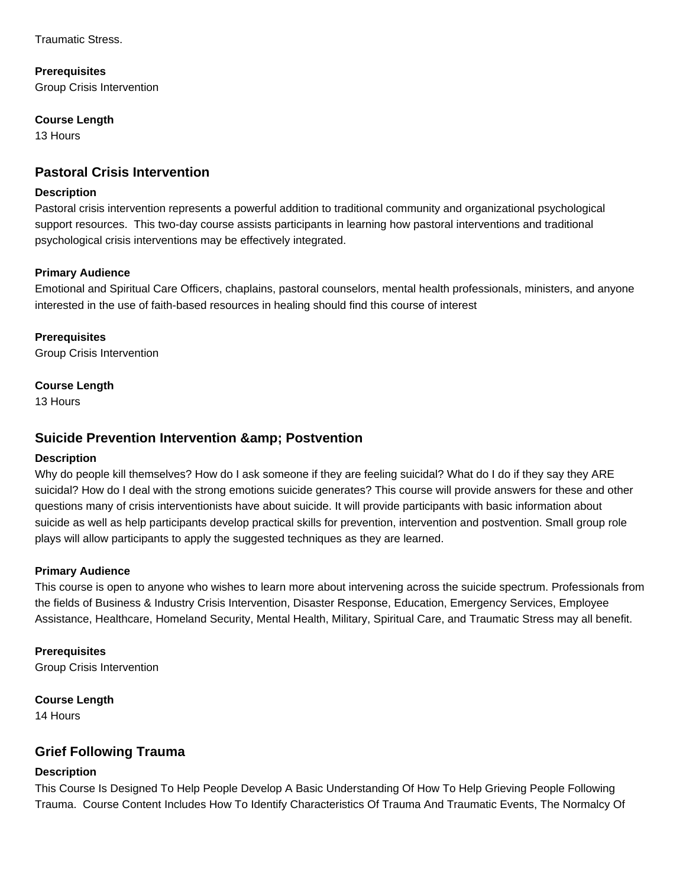Traumatic Stress.

**Prerequisites**

Group Crisis Intervention

### **Course Length**

13 Hours

# **Pastoral Crisis Intervention**

#### **Description**

Pastoral crisis intervention represents a powerful addition to traditional community and organizational psychological support resources. This two-day course assists participants in learning how pastoral interventions and traditional psychological crisis interventions may be effectively integrated.

### **Primary Audience**

Emotional and Spiritual Care Officers, chaplains, pastoral counselors, mental health professionals, ministers, and anyone interested in the use of faith-based resources in healing should find this course of interest

**Prerequisites** Group Crisis Intervention

### **Course Length**

13 Hours

# **Suicide Prevention Intervention & amp: Postvention**

### **Description**

Why do people kill themselves? How do I ask someone if they are feeling suicidal? What do I do if they say they ARE suicidal? How do I deal with the strong emotions suicide generates? This course will provide answers for these and other questions many of crisis interventionists have about suicide. It will provide participants with basic information about suicide as well as help participants develop practical skills for prevention, intervention and postvention. Small group role plays will allow participants to apply the suggested techniques as they are learned.

### **Primary Audience**

This course is open to anyone who wishes to learn more about intervening across the suicide spectrum. Professionals from the fields of Business & Industry Crisis Intervention, Disaster Response, Education, Emergency Services, Employee Assistance, Healthcare, Homeland Security, Mental Health, Military, Spiritual Care, and Traumatic Stress may all benefit.

**Prerequisites** Group Crisis Intervention

**Course Length** 14 Hours

# **Grief Following Trauma**

# **Description**

This Course Is Designed To Help People Develop A Basic Understanding Of How To Help Grieving People Following Trauma. Course Content Includes How To Identify Characteristics Of Trauma And Traumatic Events, The Normalcy Of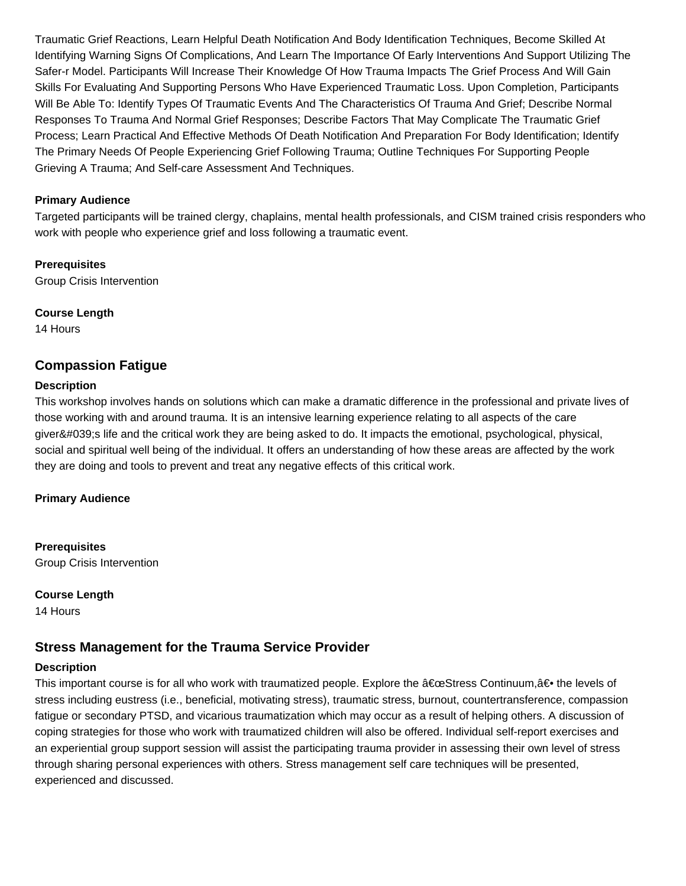Traumatic Grief Reactions, Learn Helpful Death Notification And Body Identification Techniques, Become Skilled At Identifying Warning Signs Of Complications, And Learn The Importance Of Early Interventions And Support Utilizing The Safer-r Model. Participants Will Increase Their Knowledge Of How Trauma Impacts The Grief Process And Will Gain Skills For Evaluating And Supporting Persons Who Have Experienced Traumatic Loss. Upon Completion, Participants Will Be Able To: Identify Types Of Traumatic Events And The Characteristics Of Trauma And Grief; Describe Normal Responses To Trauma And Normal Grief Responses; Describe Factors That May Complicate The Traumatic Grief Process; Learn Practical And Effective Methods Of Death Notification And Preparation For Body Identification; Identify The Primary Needs Of People Experiencing Grief Following Trauma; Outline Techniques For Supporting People Grieving A Trauma; And Self-care Assessment And Techniques.

### **Primary Audience**

Targeted participants will be trained clergy, chaplains, mental health professionals, and CISM trained crisis responders who work with people who experience grief and loss following a traumatic event.

**Prerequisites** Group Crisis Intervention

**Course Length** 14 Hours

# **Compassion Fatigue**

### **Description**

This workshop involves hands on solutions which can make a dramatic difference in the professional and private lives of those working with and around trauma. It is an intensive learning experience relating to all aspects of the care giver's life and the critical work they are being asked to do. It impacts the emotional, psychological, physical, social and spiritual well being of the individual. It offers an understanding of how these areas are affected by the work they are doing and tools to prevent and treat any negative effects of this critical work.

### **Primary Audience**

**Prerequisites** Group Crisis Intervention

**Course Length**

14 Hours

# **Stress Management for the Trauma Service Provider**

### **Description**

This important course is for all who work with traumatized people. Explore the "Stress Continuum,†the levels of stress including eustress (i.e., beneficial, motivating stress), traumatic stress, burnout, countertransference, compassion fatigue or secondary PTSD, and vicarious traumatization which may occur as a result of helping others. A discussion of coping strategies for those who work with traumatized children will also be offered. Individual self-report exercises and an experiential group support session will assist the participating trauma provider in assessing their own level of stress through sharing personal experiences with others. Stress management self care techniques will be presented, experienced and discussed.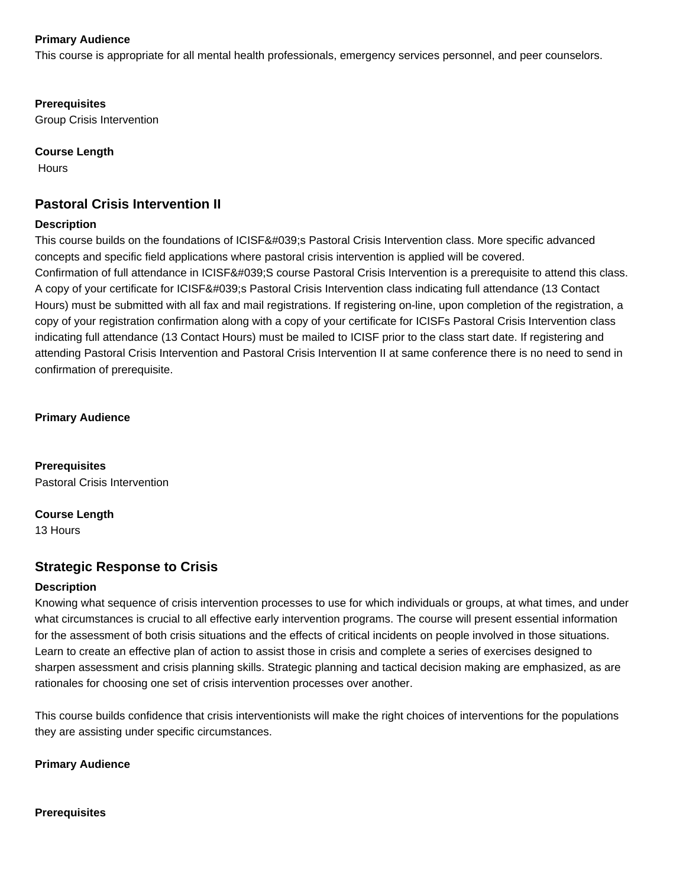### **Primary Audience**

This course is appropriate for all mental health professionals, emergency services personnel, and peer counselors.

### **Prerequisites**

Group Crisis Intervention

### **Course Length**

**Hours** 

# **Pastoral Crisis Intervention II**

### **Description**

This course builds on the foundations of ICISF's Pastoral Crisis Intervention class. More specific advanced concepts and specific field applications where pastoral crisis intervention is applied will be covered. Confirmation of full attendance in ICISF'S course Pastoral Crisis Intervention is a prerequisite to attend this class. A copy of your certificate for ICISF's Pastoral Crisis Intervention class indicating full attendance (13 Contact Hours) must be submitted with all fax and mail registrations. If registering on-line, upon completion of the registration, a copy of your registration confirmation along with a copy of your certificate for ICISFs Pastoral Crisis Intervention class indicating full attendance (13 Contact Hours) must be mailed to ICISF prior to the class start date. If registering and attending Pastoral Crisis Intervention and Pastoral Crisis Intervention II at same conference there is no need to send in confirmation of prerequisite.

**Primary Audience**

**Prerequisites** Pastoral Crisis Intervention

**Course Length**

13 Hours

# **Strategic Response to Crisis**

### **Description**

Knowing what sequence of crisis intervention processes to use for which individuals or groups, at what times, and under what circumstances is crucial to all effective early intervention programs. The course will present essential information for the assessment of both crisis situations and the effects of critical incidents on people involved in those situations. Learn to create an effective plan of action to assist those in crisis and complete a series of exercises designed to sharpen assessment and crisis planning skills. Strategic planning and tactical decision making are emphasized, as are rationales for choosing one set of crisis intervention processes over another.

This course builds confidence that crisis interventionists will make the right choices of interventions for the populations they are assisting under specific circumstances.

**Primary Audience**

### **Prerequisites**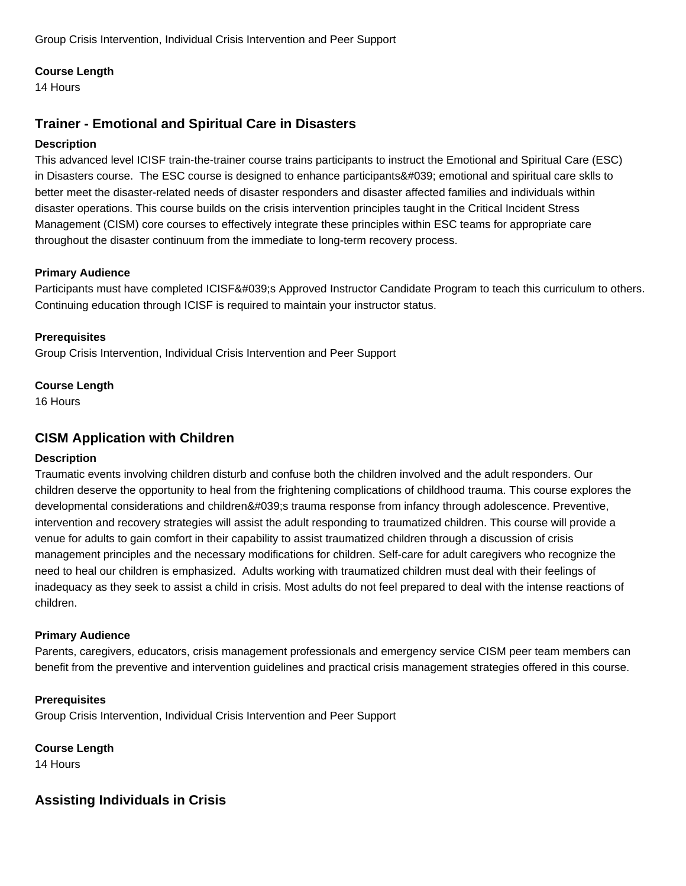Group Crisis Intervention, Individual Crisis Intervention and Peer Support

### **Course Length**

14 Hours

# **Trainer - Emotional and Spiritual Care in Disasters**

### **Description**

This advanced level ICISF train-the-trainer course trains participants to instruct the Emotional and Spiritual Care (ESC) in Disasters course. The ESC course is designed to enhance participants' emotional and spiritual care sklls to better meet the disaster-related needs of disaster responders and disaster affected families and individuals within disaster operations. This course builds on the crisis intervention principles taught in the Critical Incident Stress Management (CISM) core courses to effectively integrate these principles within ESC teams for appropriate care throughout the disaster continuum from the immediate to long-term recovery process.

### **Primary Audience**

Participants must have completed ICISF's Approved Instructor Candidate Program to teach this curriculum to others. Continuing education through ICISF is required to maintain your instructor status.

### **Prerequisites**

Group Crisis Intervention, Individual Crisis Intervention and Peer Support

### **Course Length**

16 Hours

# **CISM Application with Children**

### **Description**

Traumatic events involving children disturb and confuse both the children involved and the adult responders. Our children deserve the opportunity to heal from the frightening complications of childhood trauma. This course explores the developmental considerations and children's trauma response from infancy through adolescence. Preventive, intervention and recovery strategies will assist the adult responding to traumatized children. This course will provide a venue for adults to gain comfort in their capability to assist traumatized children through a discussion of crisis management principles and the necessary modifications for children. Self-care for adult caregivers who recognize the need to heal our children is emphasized. Adults working with traumatized children must deal with their feelings of inadequacy as they seek to assist a child in crisis. Most adults do not feel prepared to deal with the intense reactions of children.

### **Primary Audience**

Parents, caregivers, educators, crisis management professionals and emergency service CISM peer team members can benefit from the preventive and intervention guidelines and practical crisis management strategies offered in this course.

**Prerequisites** Group Crisis Intervention, Individual Crisis Intervention and Peer Support

**Course Length** 14 Hours

# **Assisting Individuals in Crisis**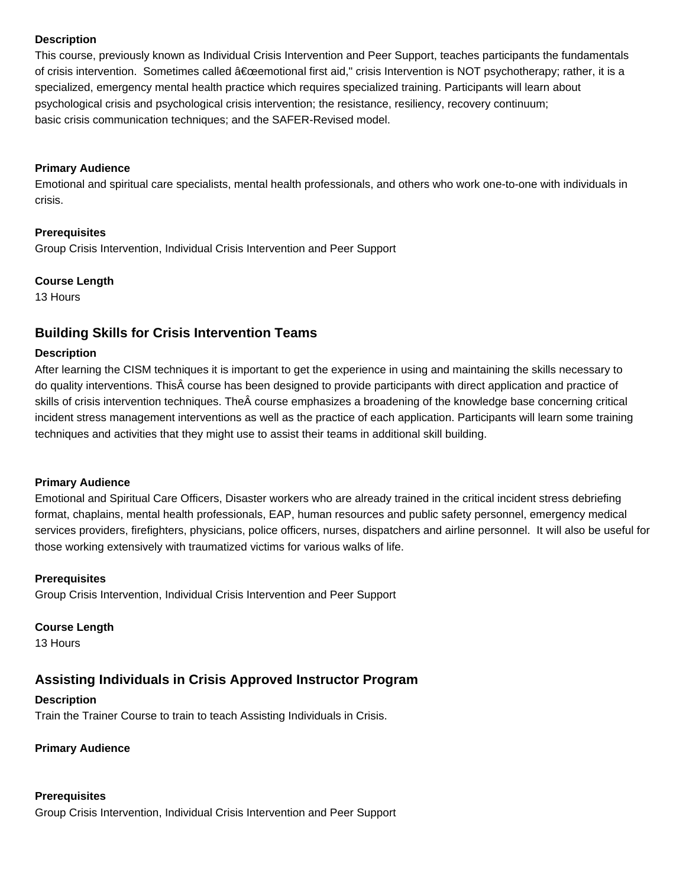### **Description**

This course, previously known as Individual Crisis Intervention and Peer Support, teaches participants the fundamentals of crisis intervention. Sometimes called "emotional first aid," crisis Intervention is NOT psychotherapy; rather, it is a specialized, emergency mental health practice which requires specialized training. Participants will learn about psychological crisis and psychological crisis intervention; the resistance, resiliency, recovery continuum; basic crisis communication techniques; and the SAFER-Revised model.

#### **Primary Audience**

Emotional and spiritual care specialists, mental health professionals, and others who work one-to-one with individuals in crisis.

### **Prerequisites**

Group Crisis Intervention, Individual Crisis Intervention and Peer Support

#### **Course Length**

13 Hours

# **Building Skills for Crisis Intervention Teams**

#### **Description**

After learning the CISM techniques it is important to get the experience in using and maintaining the skills necessary to do quality interventions. This course has been designed to provide participants with direct application and practice of skills of crisis intervention techniques. The course emphasizes a broadening of the knowledge base concerning critical incident stress management interventions as well as the practice of each application. Participants will learn some training techniques and activities that they might use to assist their teams in additional skill building.

### **Primary Audience**

Emotional and Spiritual Care Officers, Disaster workers who are already trained in the critical incident stress debriefing format, chaplains, mental health professionals, EAP, human resources and public safety personnel, emergency medical services providers, firefighters, physicians, police officers, nurses, dispatchers and airline personnel. It will also be useful for those working extensively with traumatized victims for various walks of life.

#### **Prerequisites**

Group Crisis Intervention, Individual Crisis Intervention and Peer Support

# **Course Length**

13 Hours

# **Assisting Individuals in Crisis Approved Instructor Program**

# **Description**

Train the Trainer Course to train to teach Assisting Individuals in Crisis.

# **Primary Audience**

# **Prerequisites**

Group Crisis Intervention, Individual Crisis Intervention and Peer Support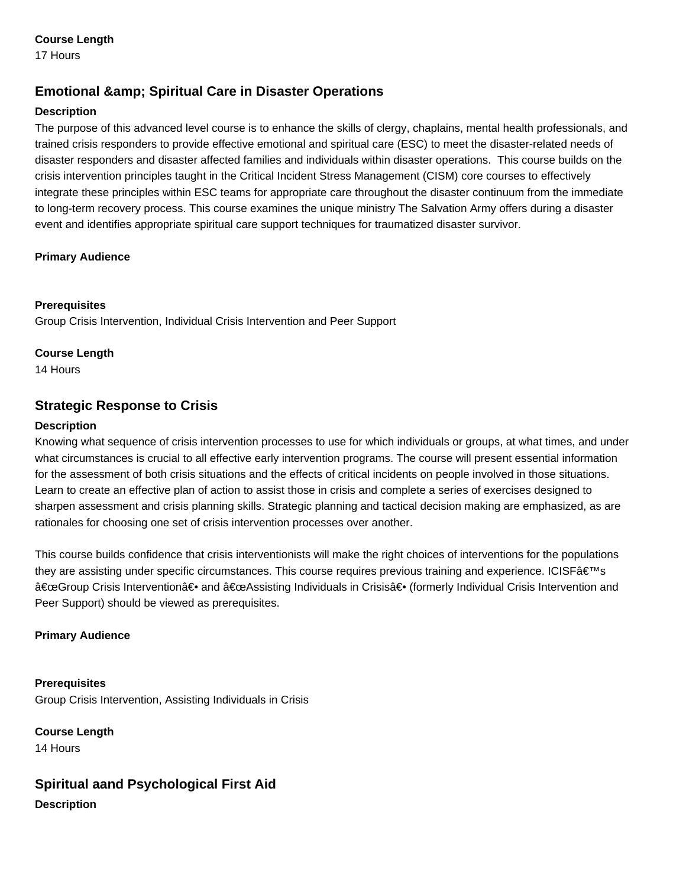### **Course Length**

17 Hours

# **Emotional & amp; Spiritual Care in Disaster Operations**

### **Description**

The purpose of this advanced level course is to enhance the skills of clergy, chaplains, mental health professionals, and trained crisis responders to provide effective emotional and spiritual care (ESC) to meet the disaster-related needs of disaster responders and disaster affected families and individuals within disaster operations. This course builds on the crisis intervention principles taught in the Critical Incident Stress Management (CISM) core courses to effectively integrate these principles within ESC teams for appropriate care throughout the disaster continuum from the immediate to long-term recovery process. This course examines the unique ministry The Salvation Army offers during a disaster event and identifies appropriate spiritual care support techniques for traumatized disaster survivor.

### **Primary Audience**

### **Prerequisites**

Group Crisis Intervention, Individual Crisis Intervention and Peer Support

### **Course Length**

14 Hours

# **Strategic Response to Crisis**

### **Description**

Knowing what sequence of crisis intervention processes to use for which individuals or groups, at what times, and under what circumstances is crucial to all effective early intervention programs. The course will present essential information for the assessment of both crisis situations and the effects of critical incidents on people involved in those situations. Learn to create an effective plan of action to assist those in crisis and complete a series of exercises designed to sharpen assessment and crisis planning skills. Strategic planning and tactical decision making are emphasized, as are rationales for choosing one set of crisis intervention processes over another.

This course builds confidence that crisis interventionists will make the right choices of interventions for the populations they are assisting under specific circumstances. This course requires previous training and experience. ICISF's "Group Crisis Intervention― and "Assisting Individuals in Crisis― (formerly Individual Crisis Intervention and Peer Support) should be viewed as prerequisites.

### **Primary Audience**

**Prerequisites** Group Crisis Intervention, Assisting Individuals in Crisis

**Course Length** 14 Hours

**Spiritual aand Psychological First Aid Description**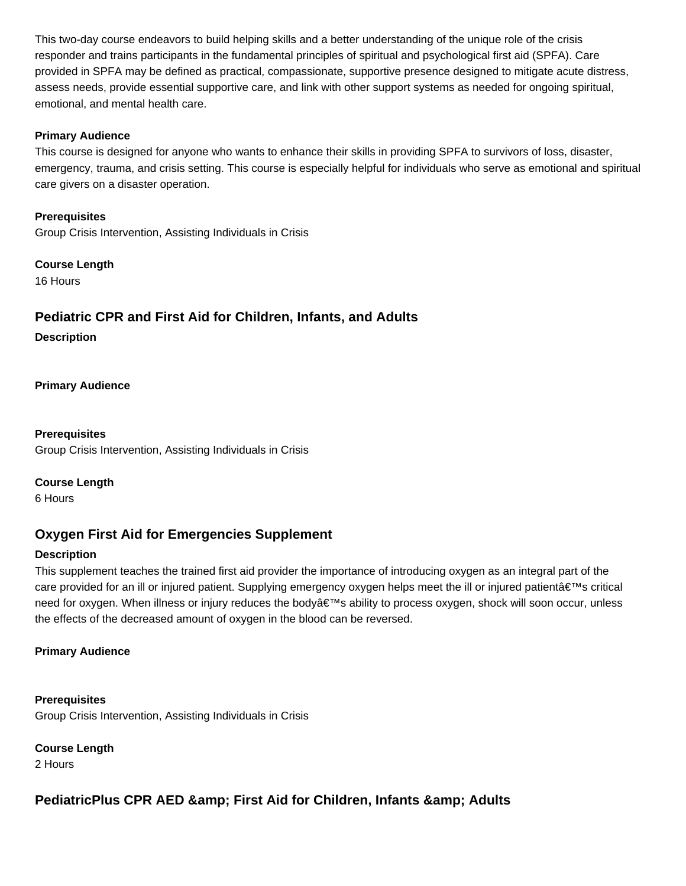This two-day course endeavors to build helping skills and a better understanding of the unique role of the crisis responder and trains participants in the fundamental principles of spiritual and psychological first aid (SPFA). Care provided in SPFA may be defined as practical, compassionate, supportive presence designed to mitigate acute distress, assess needs, provide essential supportive care, and link with other support systems as needed for ongoing spiritual, emotional, and mental health care.

#### **Primary Audience**

This course is designed for anyone who wants to enhance their skills in providing SPFA to survivors of loss, disaster, emergency, trauma, and crisis setting. This course is especially helpful for individuals who serve as emotional and spiritual care givers on a disaster operation.

**Prerequisites** Group Crisis Intervention, Assisting Individuals in Crisis

**Course Length**

16 Hours

# **Pediatric CPR and First Aid for Children, Infants, and Adults**

**Description**

**Primary Audience**

**Prerequisites** Group Crisis Intervention, Assisting Individuals in Crisis

**Course Length**

6 Hours

# **Oxygen First Aid for Emergencies Supplement**

### **Description**

This supplement teaches the trained first aid provider the importance of introducing oxygen as an integral part of the care provided for an ill or injured patient. Supplying emergency oxygen helps meet the ill or injured patient $\hat{a} \in \mathbb{N}$ s critical need for oxygen. When illness or injury reduces the body's ability to process oxygen, shock will soon occur, unless the effects of the decreased amount of oxygen in the blood can be reversed.

### **Primary Audience**

**Prerequisites** Group Crisis Intervention, Assisting Individuals in Crisis

**Course Length**

2 Hours

# **PediatricPlus CPR AED & amp: First Aid for Children, Infants & amp: Adults**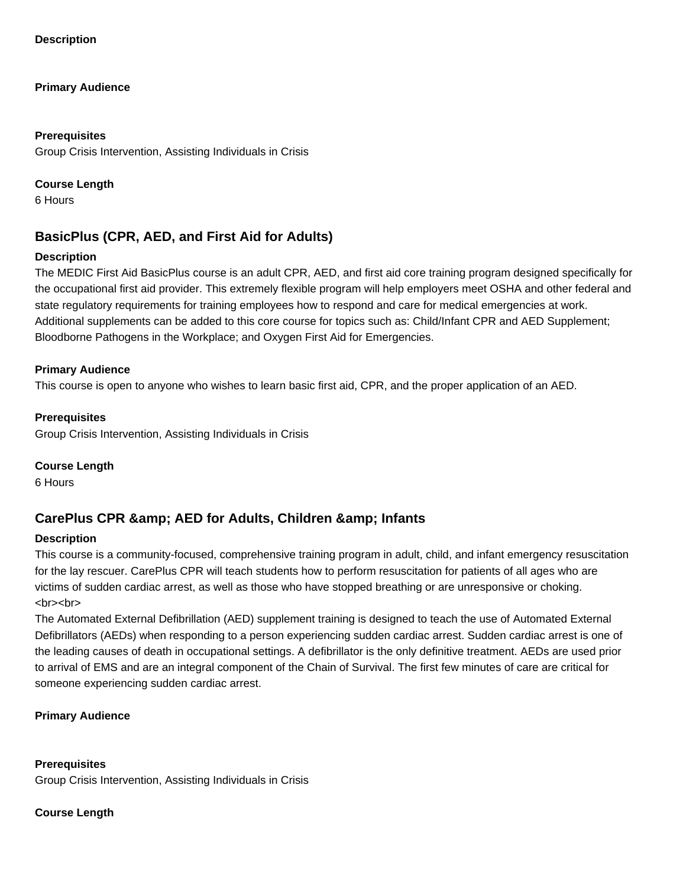**Description**

#### **Primary Audience**

#### **Prerequisites**

Group Crisis Intervention, Assisting Individuals in Crisis

#### **Course Length**

6 Hours

# **BasicPlus (CPR, AED, and First Aid for Adults)**

### **Description**

The MEDIC First Aid BasicPlus course is an adult CPR, AED, and first aid core training program designed specifically for the occupational first aid provider. This extremely flexible program will help employers meet OSHA and other federal and state regulatory requirements for training employees how to respond and care for medical emergencies at work. Additional supplements can be added to this core course for topics such as: Child/Infant CPR and AED Supplement; Bloodborne Pathogens in the Workplace; and Oxygen First Aid for Emergencies.

### **Primary Audience**

This course is open to anyone who wishes to learn basic first aid, CPR, and the proper application of an AED.

### **Prerequisites**

Group Crisis Intervention, Assisting Individuals in Crisis

#### **Course Length**

6 Hours

# CarePlus CPR & amp; AED for Adults, Children & amp; Infants

### **Description**

This course is a community-focused, comprehensive training program in adult, child, and infant emergency resuscitation for the lay rescuer. CarePlus CPR will teach students how to perform resuscitation for patients of all ages who are victims of sudden cardiac arrest, as well as those who have stopped breathing or are unresponsive or choking. <br><br>

The Automated External Defibrillation (AED) supplement training is designed to teach the use of Automated External Defibrillators (AEDs) when responding to a person experiencing sudden cardiac arrest. Sudden cardiac arrest is one of the leading causes of death in occupational settings. A defibrillator is the only definitive treatment. AEDs are used prior to arrival of EMS and are an integral component of the Chain of Survival. The first few minutes of care are critical for someone experiencing sudden cardiac arrest.

### **Primary Audience**

**Prerequisites** Group Crisis Intervention, Assisting Individuals in Crisis

### **Course Length**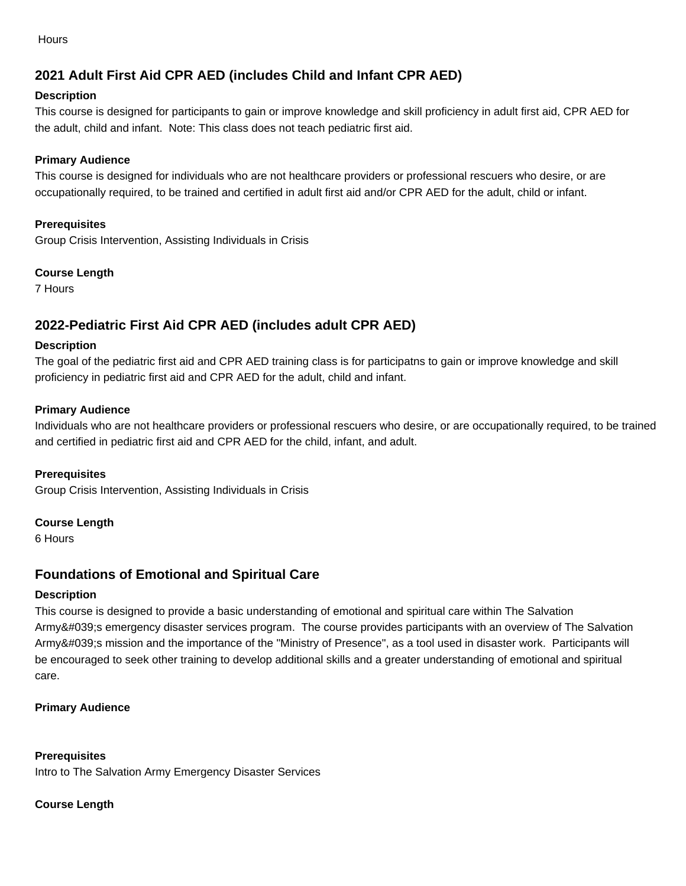**Hours** 

# **2021 Adult First Aid CPR AED (includes Child and Infant CPR AED)**

### **Description**

This course is designed for participants to gain or improve knowledge and skill proficiency in adult first aid, CPR AED for the adult, child and infant. Note: This class does not teach pediatric first aid.

### **Primary Audience**

This course is designed for individuals who are not healthcare providers or professional rescuers who desire, or are occupationally required, to be trained and certified in adult first aid and/or CPR AED for the adult, child or infant.

### **Prerequisites**

Group Crisis Intervention, Assisting Individuals in Crisis

### **Course Length**

7 Hours

# **2022-Pediatric First Aid CPR AED (includes adult CPR AED)**

### **Description**

The goal of the pediatric first aid and CPR AED training class is for participatns to gain or improve knowledge and skill proficiency in pediatric first aid and CPR AED for the adult, child and infant.

### **Primary Audience**

Individuals who are not healthcare providers or professional rescuers who desire, or are occupationally required, to be trained and certified in pediatric first aid and CPR AED for the child, infant, and adult.

### **Prerequisites**

Group Crisis Intervention, Assisting Individuals in Crisis

### **Course Length**

6 Hours

# **Foundations of Emotional and Spiritual Care**

### **Description**

This course is designed to provide a basic understanding of emotional and spiritual care within The Salvation Army's emergency disaster services program. The course provides participants with an overview of The Salvation Army's mission and the importance of the "Ministry of Presence", as a tool used in disaster work. Participants will be encouraged to seek other training to develop additional skills and a greater understanding of emotional and spiritual care.

### **Primary Audience**

### **Prerequisites** Intro to The Salvation Army Emergency Disaster Services

### **Course Length**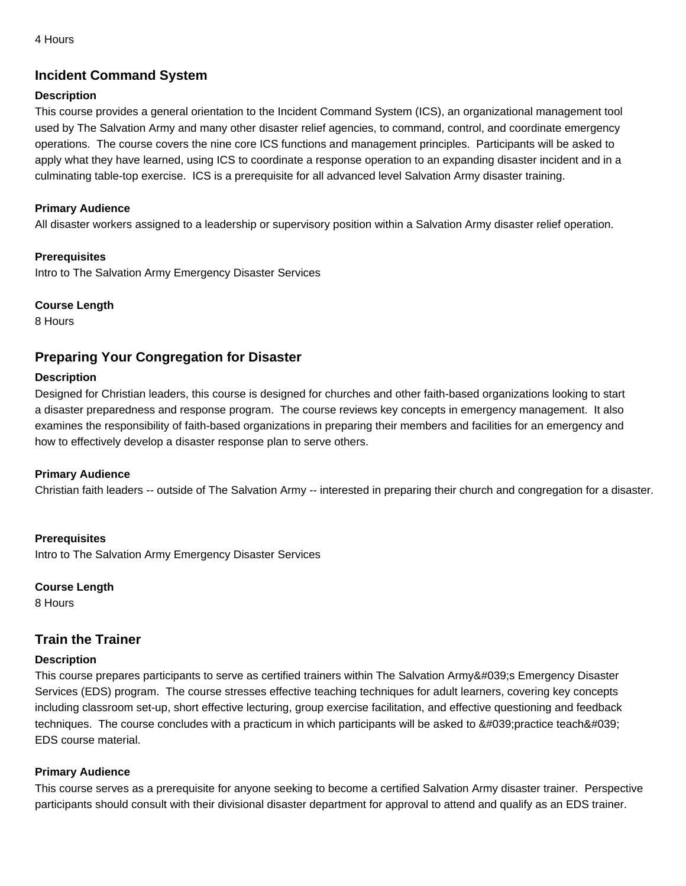# **Incident Command System**

### **Description**

This course provides a general orientation to the Incident Command System (ICS), an organizational management tool used by The Salvation Army and many other disaster relief agencies, to command, control, and coordinate emergency operations. The course covers the nine core ICS functions and management principles. Participants will be asked to apply what they have learned, using ICS to coordinate a response operation to an expanding disaster incident and in a culminating table-top exercise. ICS is a prerequisite for all advanced level Salvation Army disaster training.

### **Primary Audience**

All disaster workers assigned to a leadership or supervisory position within a Salvation Army disaster relief operation.

### **Prerequisites**

Intro to The Salvation Army Emergency Disaster Services

### **Course Length**

8 Hours

# **Preparing Your Congregation for Disaster**

### **Description**

Designed for Christian leaders, this course is designed for churches and other faith-based organizations looking to start a disaster preparedness and response program. The course reviews key concepts in emergency management. It also examines the responsibility of faith-based organizations in preparing their members and facilities for an emergency and how to effectively develop a disaster response plan to serve others.

# **Primary Audience**

Christian faith leaders -- outside of The Salvation Army -- interested in preparing their church and congregation for a disaster.

**Prerequisites** Intro to The Salvation Army Emergency Disaster Services

### **Course Length**

8 Hours

# **Train the Trainer**

### **Description**

This course prepares participants to serve as certified trainers within The Salvation Army's Emergency Disaster Services (EDS) program. The course stresses effective teaching techniques for adult learners, covering key concepts including classroom set-up, short effective lecturing, group exercise facilitation, and effective questioning and feedback techniques. The course concludes with a practicum in which participants will be asked to  $&\#039$ ; practice teach $&\#039$ ; EDS course material.

# **Primary Audience**

This course serves as a prerequisite for anyone seeking to become a certified Salvation Army disaster trainer. Perspective participants should consult with their divisional disaster department for approval to attend and qualify as an EDS trainer.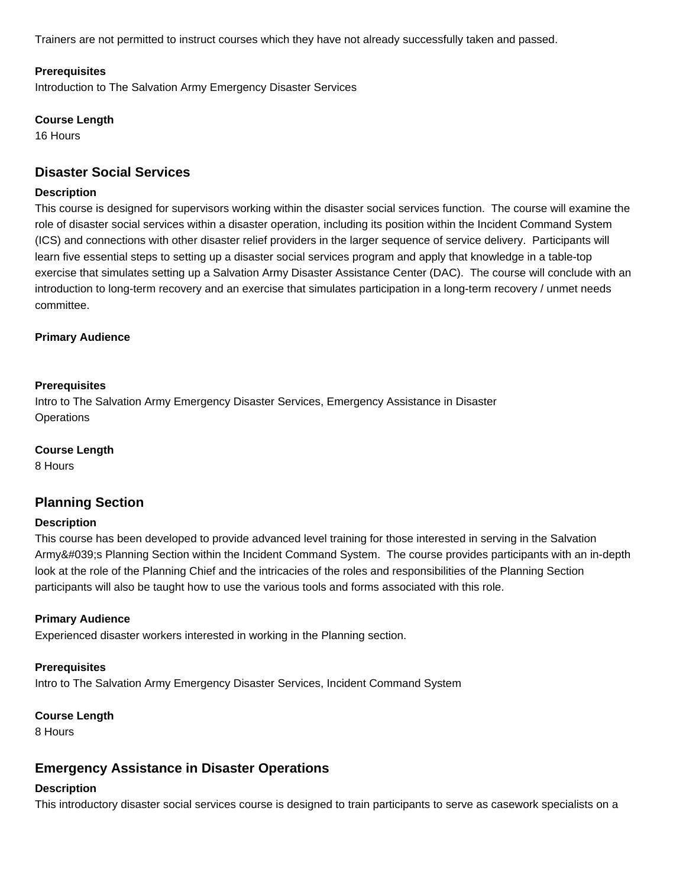Trainers are not permitted to instruct courses which they have not already successfully taken and passed.

#### **Prerequisites**

Introduction to The Salvation Army Emergency Disaster Services

#### **Course Length**

16 Hours

# **Disaster Social Services**

#### **Description**

This course is designed for supervisors working within the disaster social services function. The course will examine the role of disaster social services within a disaster operation, including its position within the Incident Command System (ICS) and connections with other disaster relief providers in the larger sequence of service delivery. Participants will learn five essential steps to setting up a disaster social services program and apply that knowledge in a table-top exercise that simulates setting up a Salvation Army Disaster Assistance Center (DAC). The course will conclude with an introduction to long-term recovery and an exercise that simulates participation in a long-term recovery / unmet needs committee.

#### **Primary Audience**

#### **Prerequisites**

Intro to The Salvation Army Emergency Disaster Services, Emergency Assistance in Disaster **Operations** 

#### **Course Length**

8 Hours

# **Planning Section**

#### **Description**

This course has been developed to provide advanced level training for those interested in serving in the Salvation Army's Planning Section within the Incident Command System. The course provides participants with an in-depth look at the role of the Planning Chief and the intricacies of the roles and responsibilities of the Planning Section participants will also be taught how to use the various tools and forms associated with this role.

#### **Primary Audience**

Experienced disaster workers interested in working in the Planning section.

#### **Prerequisites**

Intro to The Salvation Army Emergency Disaster Services, Incident Command System

#### **Course Length**

8 Hours

# **Emergency Assistance in Disaster Operations**

#### **Description**

This introductory disaster social services course is designed to train participants to serve as casework specialists on a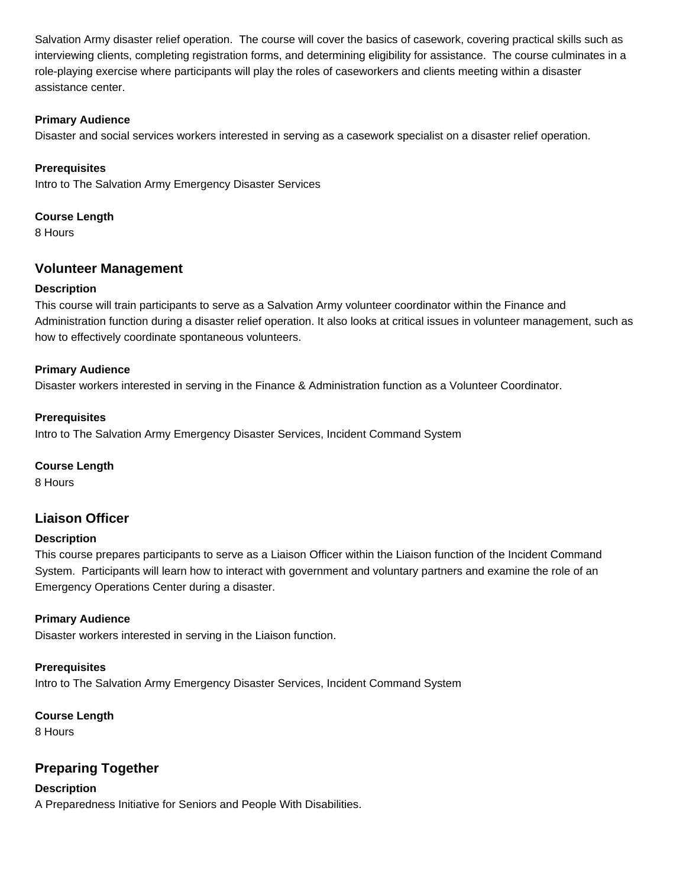Salvation Army disaster relief operation. The course will cover the basics of casework, covering practical skills such as interviewing clients, completing registration forms, and determining eligibility for assistance. The course culminates in a role-playing exercise where participants will play the roles of caseworkers and clients meeting within a disaster assistance center.

### **Primary Audience**

Disaster and social services workers interested in serving as a casework specialist on a disaster relief operation.

### **Prerequisites**

Intro to The Salvation Army Emergency Disaster Services

### **Course Length**

8 Hours

# **Volunteer Management**

### **Description**

This course will train participants to serve as a Salvation Army volunteer coordinator within the Finance and Administration function during a disaster relief operation. It also looks at critical issues in volunteer management, such as how to effectively coordinate spontaneous volunteers.

### **Primary Audience**

Disaster workers interested in serving in the Finance & Administration function as a Volunteer Coordinator.

### **Prerequisites**

Intro to The Salvation Army Emergency Disaster Services, Incident Command System

### **Course Length**

8 Hours

# **Liaison Officer**

### **Description**

This course prepares participants to serve as a Liaison Officer within the Liaison function of the Incident Command System. Participants will learn how to interact with government and voluntary partners and examine the role of an Emergency Operations Center during a disaster.

### **Primary Audience**

Disaster workers interested in serving in the Liaison function.

### **Prerequisites**

Intro to The Salvation Army Emergency Disaster Services, Incident Command System

### **Course Length**

8 Hours

# **Preparing Together**

**Description** A Preparedness Initiative for Seniors and People With Disabilities.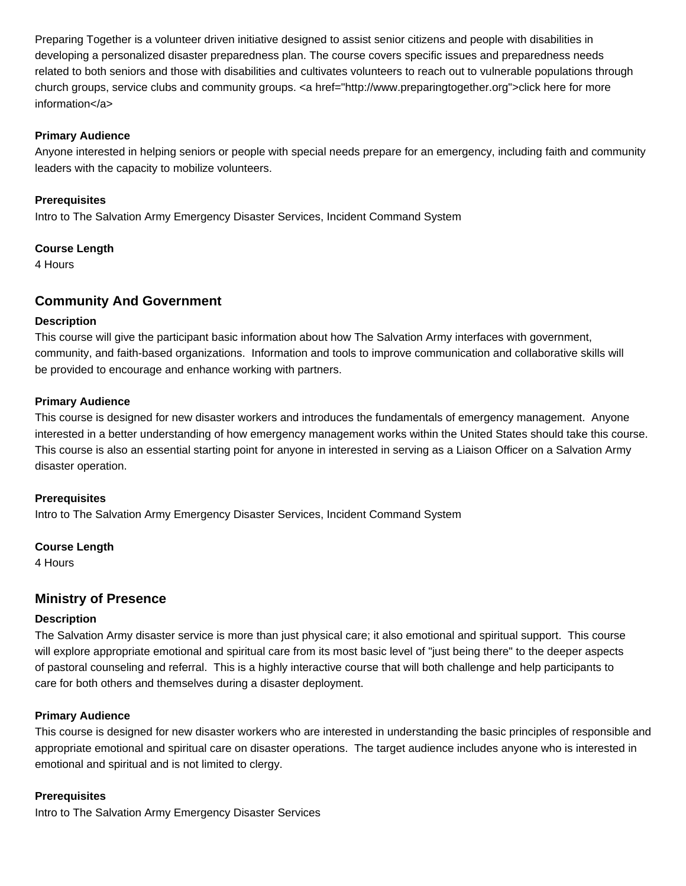Preparing Together is a volunteer driven initiative designed to assist senior citizens and people with disabilities in developing a personalized disaster preparedness plan. The course covers specific issues and preparedness needs related to both seniors and those with disabilities and cultivates volunteers to reach out to vulnerable populations through church groups, service clubs and community groups. < a href="http://www.preparingtogether.org">click here for more information</a>

#### **Primary Audience**

Anyone interested in helping seniors or people with special needs prepare for an emergency, including faith and community leaders with the capacity to mobilize volunteers.

### **Prerequisites**

Intro to The Salvation Army Emergency Disaster Services, Incident Command System

#### **Course Length**

4 Hours

# **Community And Government**

#### **Description**

This course will give the participant basic information about how The Salvation Army interfaces with government, community, and faith-based organizations. Information and tools to improve communication and collaborative skills will be provided to encourage and enhance working with partners.

#### **Primary Audience**

This course is designed for new disaster workers and introduces the fundamentals of emergency management. Anyone interested in a better understanding of how emergency management works within the United States should take this course. This course is also an essential starting point for anyone in interested in serving as a Liaison Officer on a Salvation Army disaster operation.

#### **Prerequisites**

Intro to The Salvation Army Emergency Disaster Services, Incident Command System

### **Course Length**

4 Hours

# **Ministry of Presence**

#### **Description**

The Salvation Army disaster service is more than just physical care; it also emotional and spiritual support. This course will explore appropriate emotional and spiritual care from its most basic level of "just being there" to the deeper aspects of pastoral counseling and referral. This is a highly interactive course that will both challenge and help participants to care for both others and themselves during a disaster deployment.

### **Primary Audience**

This course is designed for new disaster workers who are interested in understanding the basic principles of responsible and appropriate emotional and spiritual care on disaster operations. The target audience includes anyone who is interested in emotional and spiritual and is not limited to clergy.

#### **Prerequisites**

Intro to The Salvation Army Emergency Disaster Services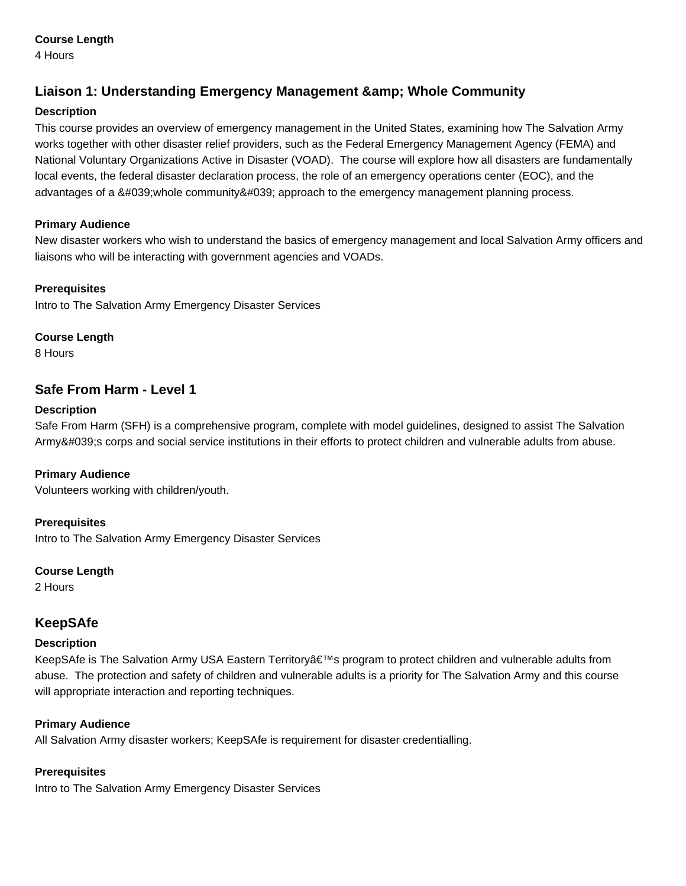### **Course Length**

4 Hours

# **Liaison 1: Understanding Emergency Management & amp; Whole Community**

### **Description**

This course provides an overview of emergency management in the United States, examining how The Salvation Army works together with other disaster relief providers, such as the Federal Emergency Management Agency (FEMA) and National Voluntary Organizations Active in Disaster (VOAD). The course will explore how all disasters are fundamentally local events, the federal disaster declaration process, the role of an emergency operations center (EOC), and the advantages of a 'whole community' approach to the emergency management planning process.

### **Primary Audience**

New disaster workers who wish to understand the basics of emergency management and local Salvation Army officers and liaisons who will be interacting with government agencies and VOADs.

### **Prerequisites**

Intro to The Salvation Army Emergency Disaster Services

### **Course Length**

8 Hours

# **Safe From Harm - Level 1**

### **Description**

Safe From Harm (SFH) is a comprehensive program, complete with model guidelines, designed to assist The Salvation Army's corps and social service institutions in their efforts to protect children and vulnerable adults from abuse.

# **Primary Audience**

Volunteers working with children/youth.

# **Prerequisites**

Intro to The Salvation Army Emergency Disaster Services

### **Course Length**

2 Hours

# **KeepSAfe**

### **Description**

KeepSAfe is The Salvation Army USA Eastern Territory's program to protect children and vulnerable adults from abuse. The protection and safety of children and vulnerable adults is a priority for The Salvation Army and this course will appropriate interaction and reporting techniques.

### **Primary Audience**

All Salvation Army disaster workers; KeepSAfe is requirement for disaster credentialling.

### **Prerequisites**

Intro to The Salvation Army Emergency Disaster Services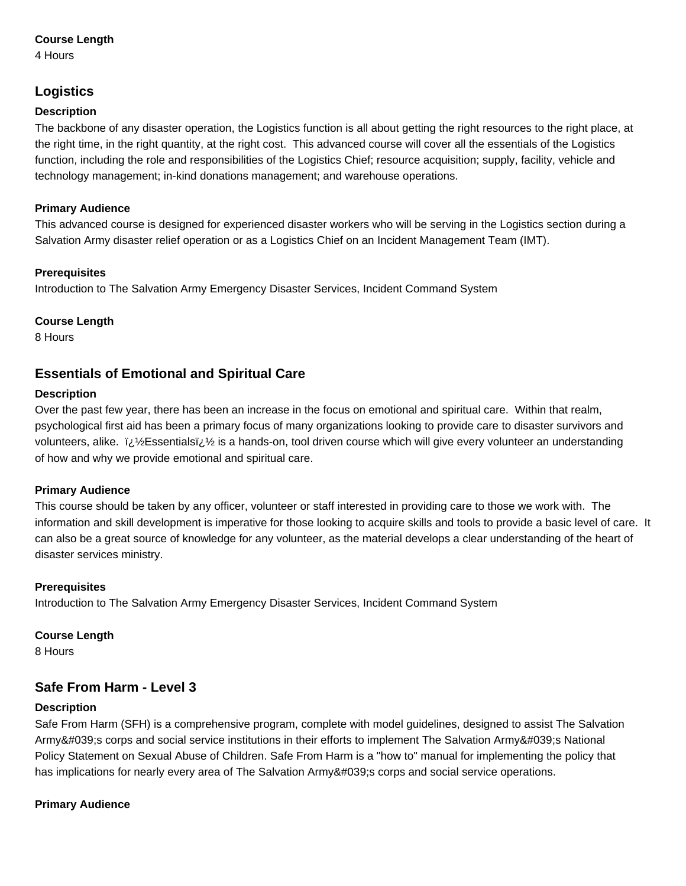### **Course Length**

4 Hours

# **Logistics**

### **Description**

The backbone of any disaster operation, the Logistics function is all about getting the right resources to the right place, at the right time, in the right quantity, at the right cost. This advanced course will cover all the essentials of the Logistics function, including the role and responsibilities of the Logistics Chief; resource acquisition; supply, facility, vehicle and technology management; in-kind donations management; and warehouse operations.

### **Primary Audience**

This advanced course is designed for experienced disaster workers who will be serving in the Logistics section during a Salvation Army disaster relief operation or as a Logistics Chief on an Incident Management Team (IMT).

### **Prerequisites**

Introduction to The Salvation Army Emergency Disaster Services, Incident Command System

### **Course Length**

8 Hours

# **Essentials of Emotional and Spiritual Care**

### **Description**

Over the past few year, there has been an increase in the focus on emotional and spiritual care. Within that realm, psychological first aid has been a primary focus of many organizations looking to provide care to disaster survivors and volunteers, alike.  $i\hbar/2$  is a hands-on, tool driven course which will give every volunteer an understanding of how and why we provide emotional and spiritual care.

### **Primary Audience**

This course should be taken by any officer, volunteer or staff interested in providing care to those we work with. The information and skill development is imperative for those looking to acquire skills and tools to provide a basic level of care. It can also be a great source of knowledge for any volunteer, as the material develops a clear understanding of the heart of disaster services ministry.

### **Prerequisites**

Introduction to The Salvation Army Emergency Disaster Services, Incident Command System

### **Course Length**

8 Hours

# **Safe From Harm - Level 3**

# **Description**

Safe From Harm (SFH) is a comprehensive program, complete with model guidelines, designed to assist The Salvation Army's corps and social service institutions in their efforts to implement The Salvation Army's National Policy Statement on Sexual Abuse of Children. Safe From Harm is a "how to" manual for implementing the policy that has implications for nearly every area of The Salvation Army's corps and social service operations.

# **Primary Audience**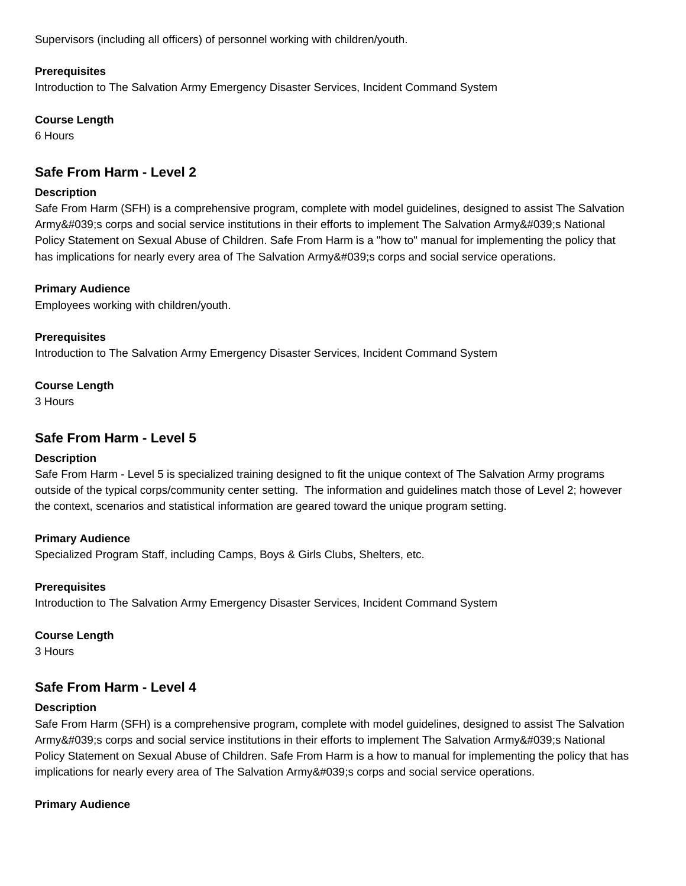Supervisors (including all officers) of personnel working with children/youth.

#### **Prerequisites**

Introduction to The Salvation Army Emergency Disaster Services, Incident Command System

#### **Course Length**

6 Hours

# **Safe From Harm - Level 2**

#### **Description**

Safe From Harm (SFH) is a comprehensive program, complete with model guidelines, designed to assist The Salvation Army's corps and social service institutions in their efforts to implement The Salvation Army's National Policy Statement on Sexual Abuse of Children. Safe From Harm is a "how to" manual for implementing the policy that has implications for nearly every area of The Salvation Army's corps and social service operations.

### **Primary Audience**

Employees working with children/youth.

**Prerequisites** Introduction to The Salvation Army Emergency Disaster Services, Incident Command System

### **Course Length**

3 Hours

# **Safe From Harm - Level 5**

### **Description**

Safe From Harm - Level 5 is specialized training designed to fit the unique context of The Salvation Army programs outside of the typical corps/community center setting. The information and guidelines match those of Level 2; however the context, scenarios and statistical information are geared toward the unique program setting.

### **Primary Audience**

Specialized Program Staff, including Camps, Boys & Girls Clubs, Shelters, etc.

### **Prerequisites**

Introduction to The Salvation Army Emergency Disaster Services, Incident Command System

#### **Course Length**

3 Hours

# **Safe From Harm - Level 4**

### **Description**

Safe From Harm (SFH) is a comprehensive program, complete with model guidelines, designed to assist The Salvation Army's corps and social service institutions in their efforts to implement The Salvation Army's National Policy Statement on Sexual Abuse of Children. Safe From Harm is a how to manual for implementing the policy that has implications for nearly every area of The Salvation Army's corps and social service operations.

### **Primary Audience**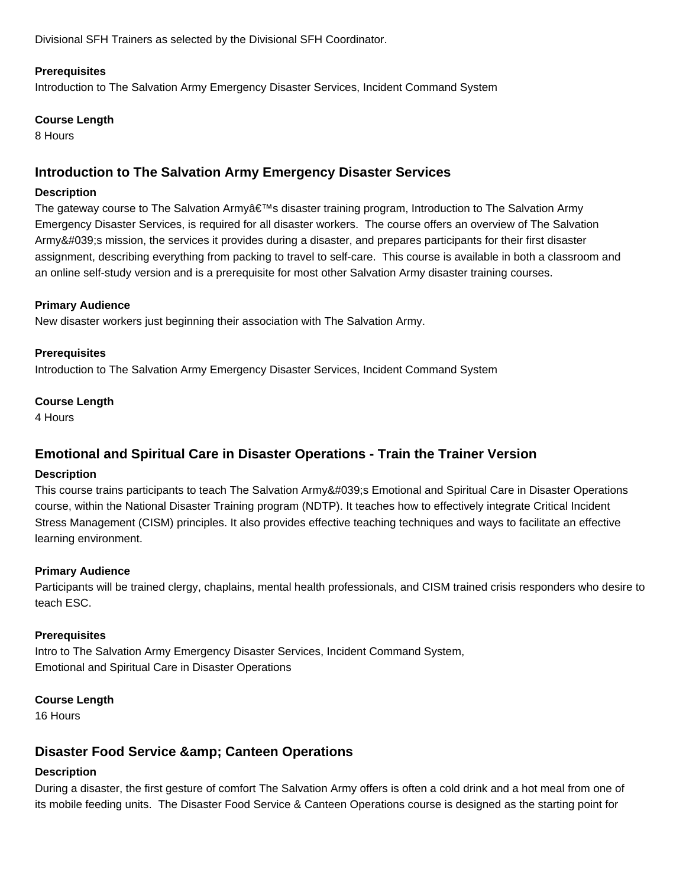Divisional SFH Trainers as selected by the Divisional SFH Coordinator.

### **Prerequisites**

Introduction to The Salvation Army Emergency Disaster Services, Incident Command System

#### **Course Length**

8 Hours

# **Introduction to The Salvation Army Emergency Disaster Services**

#### **Description**

The gateway course to The Salvation Army's disaster training program, Introduction to The Salvation Army Emergency Disaster Services, is required for all disaster workers. The course offers an overview of The Salvation Army's mission, the services it provides during a disaster, and prepares participants for their first disaster assignment, describing everything from packing to travel to self-care. This course is available in both a classroom and an online self-study version and is a prerequisite for most other Salvation Army disaster training courses.

### **Primary Audience**

New disaster workers just beginning their association with The Salvation Army.

#### **Prerequisites**

Introduction to The Salvation Army Emergency Disaster Services, Incident Command System

#### **Course Length**

4 Hours

# **Emotional and Spiritual Care in Disaster Operations - Train the Trainer Version**

### **Description**

This course trains participants to teach The Salvation Army' Emotional and Spiritual Care in Disaster Operations course, within the National Disaster Training program (NDTP). It teaches how to effectively integrate Critical Incident Stress Management (CISM) principles. It also provides effective teaching techniques and ways to facilitate an effective learning environment.

### **Primary Audience**

Participants will be trained clergy, chaplains, mental health professionals, and CISM trained crisis responders who desire to teach ESC.

### **Prerequisites**

Intro to The Salvation Army Emergency Disaster Services, Incident Command System, Emotional and Spiritual Care in Disaster Operations

### **Course Length**

16 Hours

# **Disaster Food Service & amp: Canteen Operations**

### **Description**

During a disaster, the first gesture of comfort The Salvation Army offers is often a cold drink and a hot meal from one of its mobile feeding units. The Disaster Food Service & Canteen Operations course is designed as the starting point for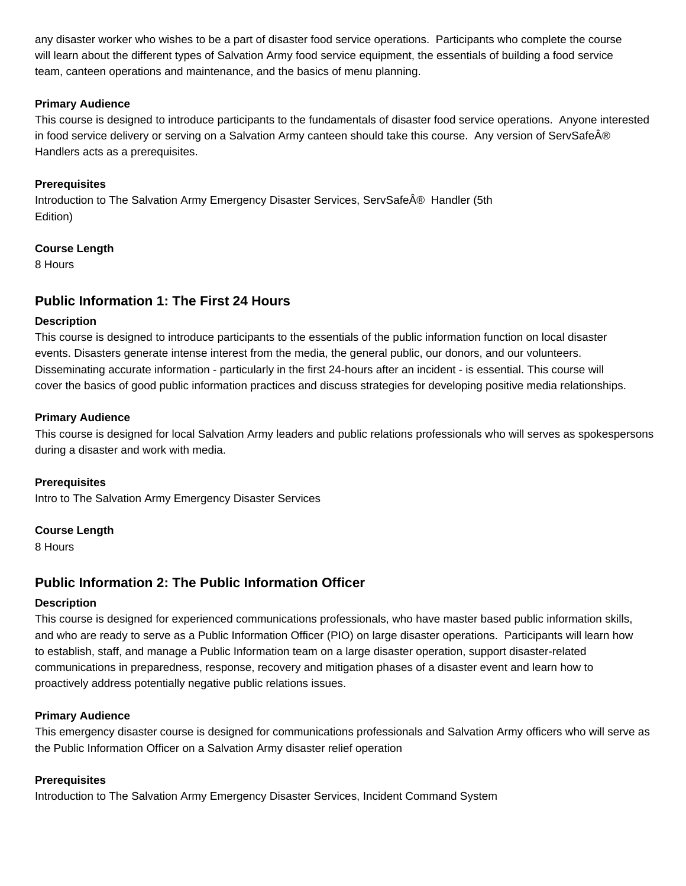any disaster worker who wishes to be a part of disaster food service operations. Participants who complete the course will learn about the different types of Salvation Army food service equipment, the essentials of building a food service team, canteen operations and maintenance, and the basics of menu planning.

### **Primary Audience**

This course is designed to introduce participants to the fundamentals of disaster food service operations. Anyone interested in food service delivery or serving on a Salvation Army canteen should take this course. Any version of ServSafe® Handlers acts as a prerequisites.

### **Prerequisites**

Introduction to The Salvation Army Emergency Disaster Services, ServSafe® Handler (5th Edition)

### **Course Length**

8 Hours

# **Public Information 1: The First 24 Hours**

### **Description**

This course is designed to introduce participants to the essentials of the public information function on local disaster events. Disasters generate intense interest from the media, the general public, our donors, and our volunteers. Disseminating accurate information - particularly in the first 24-hours after an incident - is essential. This course will cover the basics of good public information practices and discuss strategies for developing positive media relationships.

### **Primary Audience**

This course is designed for local Salvation Army leaders and public relations professionals who will serves as spokespersons during a disaster and work with media.

**Prerequisites** Intro to The Salvation Army Emergency Disaster Services

### **Course Length**

8 Hours

# **Public Information 2: The Public Information Officer**

### **Description**

This course is designed for experienced communications professionals, who have master based public information skills, and who are ready to serve as a Public Information Officer (PIO) on large disaster operations. Participants will learn how to establish, staff, and manage a Public Information team on a large disaster operation, support disaster-related communications in preparedness, response, recovery and mitigation phases of a disaster event and learn how to proactively address potentially negative public relations issues.

### **Primary Audience**

This emergency disaster course is designed for communications professionals and Salvation Army officers who will serve as the Public Information Officer on a Salvation Army disaster relief operation

### **Prerequisites**

Introduction to The Salvation Army Emergency Disaster Services, Incident Command System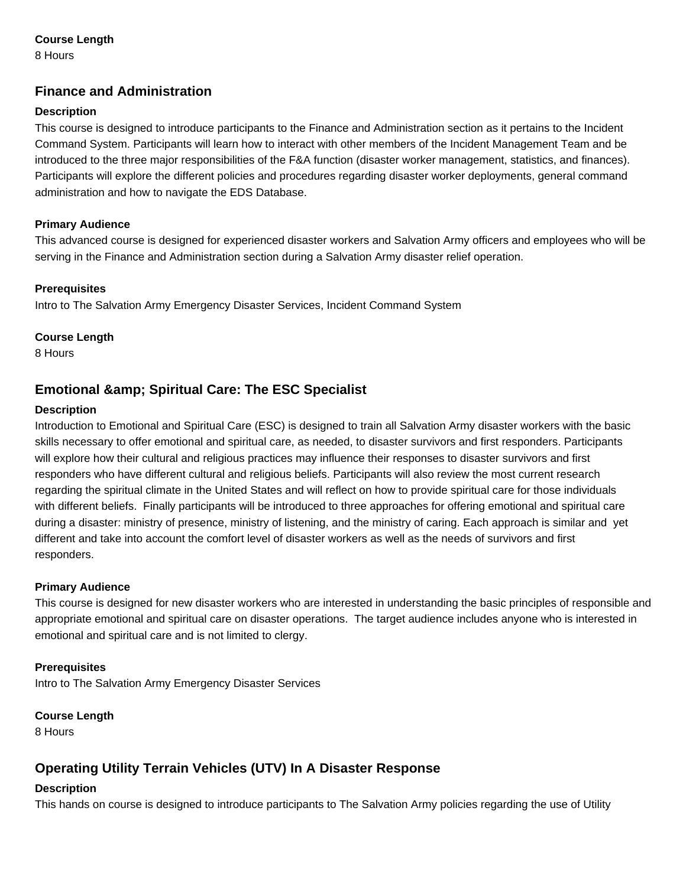### **Course Length**

8 Hours

# **Finance and Administration**

### **Description**

This course is designed to introduce participants to the Finance and Administration section as it pertains to the Incident Command System. Participants will learn how to interact with other members of the Incident Management Team and be introduced to the three major responsibilities of the F&A function (disaster worker management, statistics, and finances). Participants will explore the different policies and procedures regarding disaster worker deployments, general command administration and how to navigate the EDS Database.

### **Primary Audience**

This advanced course is designed for experienced disaster workers and Salvation Army officers and employees who will be serving in the Finance and Administration section during a Salvation Army disaster relief operation.

### **Prerequisites**

Intro to The Salvation Army Emergency Disaster Services, Incident Command System

#### **Course Length**

8 Hours

# **Emotional & amp; Spiritual Care: The ESC Specialist**

#### **Description**

Introduction to Emotional and Spiritual Care (ESC) is designed to train all Salvation Army disaster workers with the basic skills necessary to offer emotional and spiritual care, as needed, to disaster survivors and first responders. Participants will explore how their cultural and religious practices may influence their responses to disaster survivors and first responders who have different cultural and religious beliefs. Participants will also review the most current research regarding the spiritual climate in the United States and will reflect on how to provide spiritual care for those individuals with different beliefs. Finally participants will be introduced to three approaches for offering emotional and spiritual care during a disaster: ministry of presence, ministry of listening, and the ministry of caring. Each approach is similar and yet different and take into account the comfort level of disaster workers as well as the needs of survivors and first responders.

### **Primary Audience**

This course is designed for new disaster workers who are interested in understanding the basic principles of responsible and appropriate emotional and spiritual care on disaster operations. The target audience includes anyone who is interested in emotional and spiritual care and is not limited to clergy.

### **Prerequisites**

Intro to The Salvation Army Emergency Disaster Services

### **Course Length**

8 Hours

# **Operating Utility Terrain Vehicles (UTV) In A Disaster Response**

### **Description**

This hands on course is designed to introduce participants to The Salvation Army policies regarding the use of Utility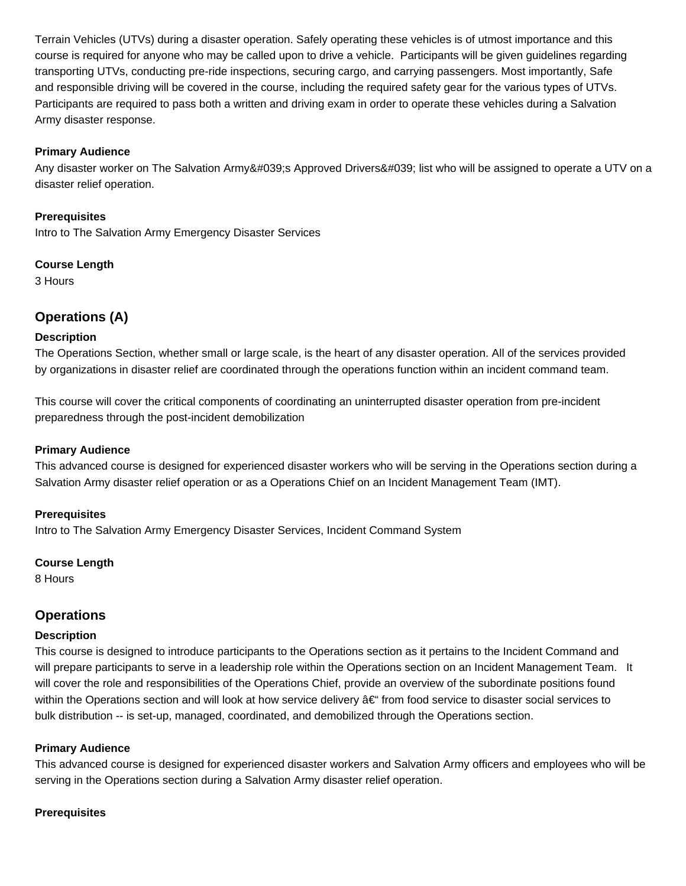Terrain Vehicles (UTVs) during a disaster operation. Safely operating these vehicles is of utmost importance and this course is required for anyone who may be called upon to drive a vehicle. Participants will be given guidelines regarding transporting UTVs, conducting pre-ride inspections, securing cargo, and carrying passengers. Most importantly, Safe and responsible driving will be covered in the course, including the required safety gear for the various types of UTVs. Participants are required to pass both a written and driving exam in order to operate these vehicles during a Salvation Army disaster response.

#### **Primary Audience**

Any disaster worker on The Salvation Army's Approved Drivers' list who will be assigned to operate a UTV on a disaster relief operation.

#### **Prerequisites**

Intro to The Salvation Army Emergency Disaster Services

#### **Course Length**

3 Hours

# **Operations (A)**

#### **Description**

The Operations Section, whether small or large scale, is the heart of any disaster operation. All of the services provided by organizations in disaster relief are coordinated through the operations function within an incident command team.

This course will cover the critical components of coordinating an uninterrupted disaster operation from pre-incident preparedness through the post-incident demobilization

### **Primary Audience**

This advanced course is designed for experienced disaster workers who will be serving in the Operations section during a Salvation Army disaster relief operation or as a Operations Chief on an Incident Management Team (IMT).

#### **Prerequisites**

Intro to The Salvation Army Emergency Disaster Services, Incident Command System

#### **Course Length**

8 Hours

# **Operations**

#### **Description**

This course is designed to introduce participants to the Operations section as it pertains to the Incident Command and will prepare participants to serve in a leadership role within the Operations section on an Incident Management Team. It will cover the role and responsibilities of the Operations Chief, provide an overview of the subordinate positions found within the Operations section and will look at how service delivery  $\hat{a} \in \hat{f}$  from food service to disaster social services to bulk distribution -- is set-up, managed, coordinated, and demobilized through the Operations section.

### **Primary Audience**

This advanced course is designed for experienced disaster workers and Salvation Army officers and employees who will be serving in the Operations section during a Salvation Army disaster relief operation.

### **Prerequisites**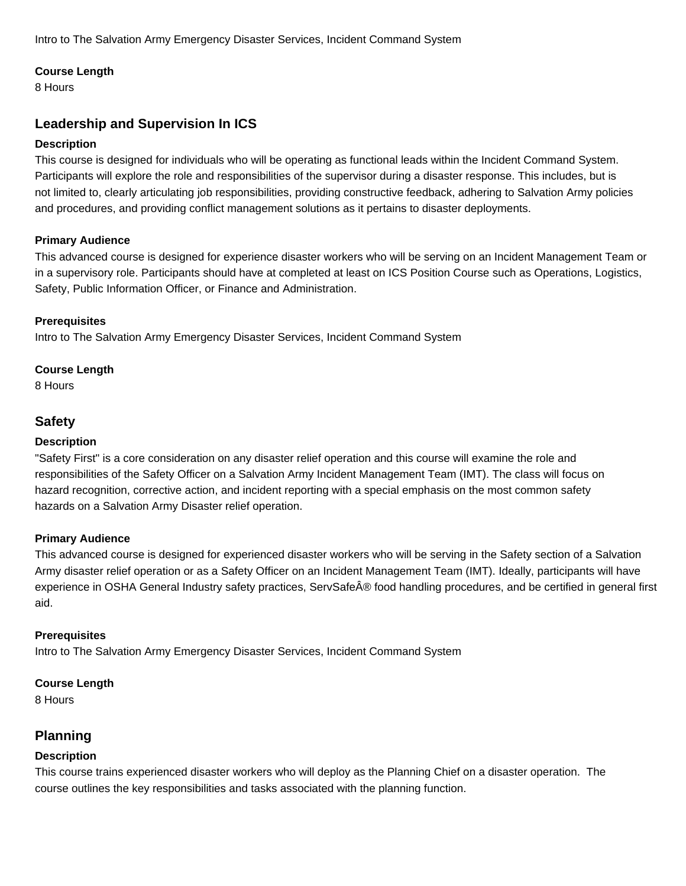### **Course Length**

8 Hours

# **Leadership and Supervision In ICS**

### **Description**

This course is designed for individuals who will be operating as functional leads within the Incident Command System. Participants will explore the role and responsibilities of the supervisor during a disaster response. This includes, but is not limited to, clearly articulating job responsibilities, providing constructive feedback, adhering to Salvation Army policies and procedures, and providing conflict management solutions as it pertains to disaster deployments.

### **Primary Audience**

This advanced course is designed for experience disaster workers who will be serving on an Incident Management Team or in a supervisory role. Participants should have at completed at least on ICS Position Course such as Operations, Logistics, Safety, Public Information Officer, or Finance and Administration.

### **Prerequisites**

Intro to The Salvation Army Emergency Disaster Services, Incident Command System

### **Course Length**

8 Hours

# **Safety**

### **Description**

"Safety First" is a core consideration on any disaster relief operation and this course will examine the role and responsibilities of the Safety Officer on a Salvation Army Incident Management Team (IMT). The class will focus on hazard recognition, corrective action, and incident reporting with a special emphasis on the most common safety hazards on a Salvation Army Disaster relief operation.

### **Primary Audience**

This advanced course is designed for experienced disaster workers who will be serving in the Safety section of a Salvation Army disaster relief operation or as a Safety Officer on an Incident Management Team (IMT). Ideally, participants will have experience in OSHA General Industry safety practices, ServSafe® food handling procedures, and be certified in general first aid.

### **Prerequisites**

Intro to The Salvation Army Emergency Disaster Services, Incident Command System

### **Course Length**

8 Hours

# **Planning**

# **Description**

This course trains experienced disaster workers who will deploy as the Planning Chief on a disaster operation. The course outlines the key responsibilities and tasks associated with the planning function.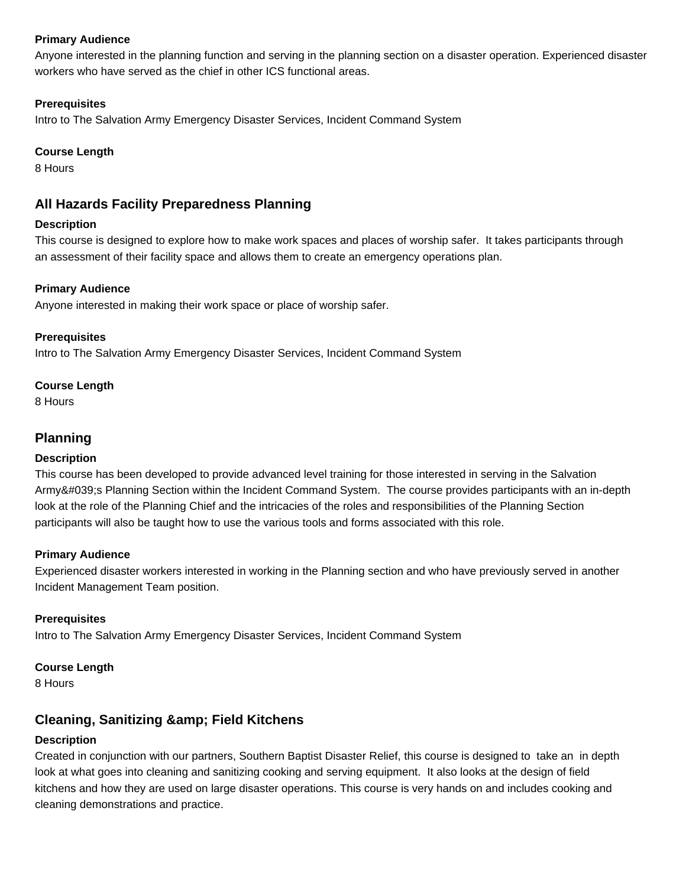### **Primary Audience**

Anyone interested in the planning function and serving in the planning section on a disaster operation. Experienced disaster workers who have served as the chief in other ICS functional areas.

### **Prerequisites**

Intro to The Salvation Army Emergency Disaster Services, Incident Command System

### **Course Length**

8 Hours

# **All Hazards Facility Preparedness Planning**

### **Description**

This course is designed to explore how to make work spaces and places of worship safer. It takes participants through an assessment of their facility space and allows them to create an emergency operations plan.

### **Primary Audience**

Anyone interested in making their work space or place of worship safer.

### **Prerequisites**

Intro to The Salvation Army Emergency Disaster Services, Incident Command System

### **Course Length**

8 Hours

# **Planning**

### **Description**

This course has been developed to provide advanced level training for those interested in serving in the Salvation Army's Planning Section within the Incident Command System. The course provides participants with an in-depth look at the role of the Planning Chief and the intricacies of the roles and responsibilities of the Planning Section participants will also be taught how to use the various tools and forms associated with this role.

### **Primary Audience**

Experienced disaster workers interested in working in the Planning section and who have previously served in another Incident Management Team position.

### **Prerequisites**

Intro to The Salvation Army Emergency Disaster Services, Incident Command System

### **Course Length**

8 Hours

# **Cleaning, Sanitizing & amp; Field Kitchens**

# **Description**

Created in conjunction with our partners, Southern Baptist Disaster Relief, this course is designed to take an in depth look at what goes into cleaning and sanitizing cooking and serving equipment. It also looks at the design of field kitchens and how they are used on large disaster operations. This course is very hands on and includes cooking and cleaning demonstrations and practice.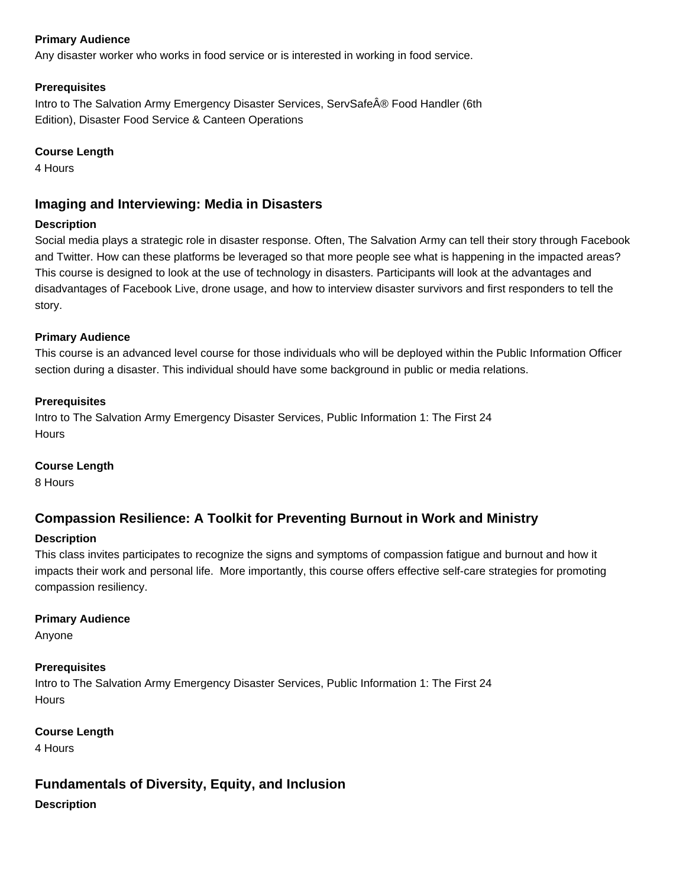### **Primary Audience**

Any disaster worker who works in food service or is interested in working in food service.

### **Prerequisites**

Intro to The Salvation Army Emergency Disaster Services, ServSafe® Food Handler (6th Edition), Disaster Food Service & Canteen Operations

### **Course Length**

4 Hours

# **Imaging and Interviewing: Media in Disasters**

### **Description**

Social media plays a strategic role in disaster response. Often, The Salvation Army can tell their story through Facebook and Twitter. How can these platforms be leveraged so that more people see what is happening in the impacted areas? This course is designed to look at the use of technology in disasters. Participants will look at the advantages and disadvantages of Facebook Live, drone usage, and how to interview disaster survivors and first responders to tell the story.

### **Primary Audience**

This course is an advanced level course for those individuals who will be deployed within the Public Information Officer section during a disaster. This individual should have some background in public or media relations.

### **Prerequisites**

Intro to The Salvation Army Emergency Disaster Services, Public Information 1: The First 24 **Hours** 

### **Course Length**

8 Hours

# **Compassion Resilience: A Toolkit for Preventing Burnout in Work and Ministry**

# **Description**

This class invites participates to recognize the signs and symptoms of compassion fatigue and burnout and how it impacts their work and personal life. More importantly, this course offers effective self-care strategies for promoting compassion resiliency.

# **Primary Audience**

Anyone

# **Prerequisites**

Intro to The Salvation Army Emergency Disaster Services, Public Information 1: The First 24 **Hours** 

# **Course Length**

4 Hours

**Fundamentals of Diversity, Equity, and Inclusion**

**Description**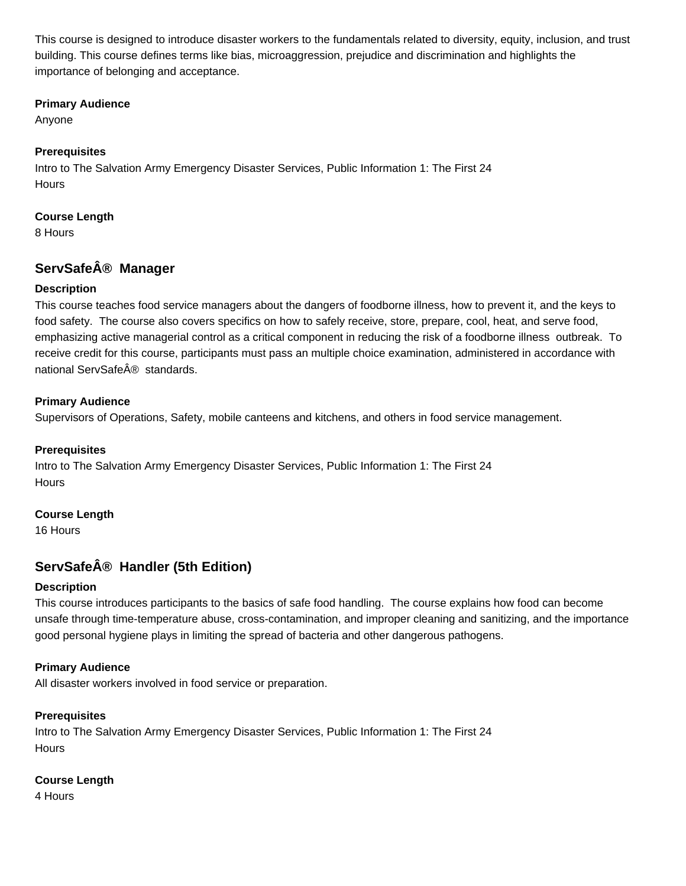This course is designed to introduce disaster workers to the fundamentals related to diversity, equity, inclusion, and trust building. This course defines terms like bias, microaggression, prejudice and discrimination and highlights the importance of belonging and acceptance.

#### **Primary Audience**

Anyone

### **Prerequisites**

Intro to The Salvation Army Emergency Disaster Services, Public Information 1: The First 24 **Hours** 

### **Course Length**

8 Hours

# **ServSafe® Manager**

### **Description**

This course teaches food service managers about the dangers of foodborne illness, how to prevent it, and the keys to food safety. The course also covers specifics on how to safely receive, store, prepare, cool, heat, and serve food, emphasizing active managerial control as a critical component in reducing the risk of a foodborne illness outbreak. To receive credit for this course, participants must pass an multiple choice examination, administered in accordance with national ServSafe® standards.

### **Primary Audience**

Supervisors of Operations, Safety, mobile canteens and kitchens, and others in food service management.

### **Prerequisites**

Intro to The Salvation Army Emergency Disaster Services, Public Information 1: The First 24 **Hours** 

### **Course Length**

16 Hours

# **ServSafe® Handler (5th Edition)**

### **Description**

This course introduces participants to the basics of safe food handling. The course explains how food can become unsafe through time-temperature abuse, cross-contamination, and improper cleaning and sanitizing, and the importance good personal hygiene plays in limiting the spread of bacteria and other dangerous pathogens.

### **Primary Audience**

All disaster workers involved in food service or preparation.

### **Prerequisites**

Intro to The Salvation Army Emergency Disaster Services, Public Information 1: The First 24 **Hours** 

### **Course Length**

4 Hours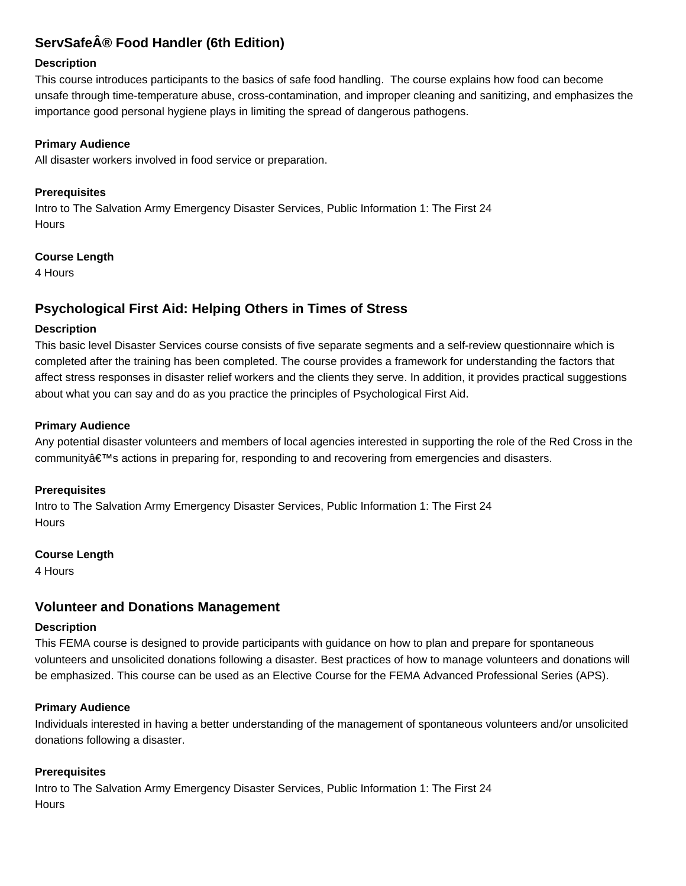# **ServSafe® Food Handler (6th Edition)**

#### **Description**

This course introduces participants to the basics of safe food handling. The course explains how food can become unsafe through time-temperature abuse, cross-contamination, and improper cleaning and sanitizing, and emphasizes the importance good personal hygiene plays in limiting the spread of dangerous pathogens.

#### **Primary Audience**

All disaster workers involved in food service or preparation.

### **Prerequisites**

Intro to The Salvation Army Emergency Disaster Services, Public Information 1: The First 24 **Hours** 

#### **Course Length**

4 Hours

# **Psychological First Aid: Helping Others in Times of Stress**

#### **Description**

This basic level Disaster Services course consists of five separate segments and a self-review questionnaire which is completed after the training has been completed. The course provides a framework for understanding the factors that affect stress responses in disaster relief workers and the clients they serve. In addition, it provides practical suggestions about what you can say and do as you practice the principles of Psychological First Aid.

#### **Primary Audience**

Any potential disaster volunteers and members of local agencies interested in supporting the role of the Red Cross in the community's actions in preparing for, responding to and recovering from emergencies and disasters.

#### **Prerequisites**

Intro to The Salvation Army Emergency Disaster Services, Public Information 1: The First 24 **Hours** 

#### **Course Length**

4 Hours

# **Volunteer and Donations Management**

### **Description**

This FEMA course is designed to provide participants with guidance on how to plan and prepare for spontaneous volunteers and unsolicited donations following a disaster. Best practices of how to manage volunteers and donations will be emphasized. This course can be used as an Elective Course for the FEMA Advanced Professional Series (APS).

### **Primary Audience**

Individuals interested in having a better understanding of the management of spontaneous volunteers and/or unsolicited donations following a disaster.

### **Prerequisites**

Intro to The Salvation Army Emergency Disaster Services, Public Information 1: The First 24 **Hours**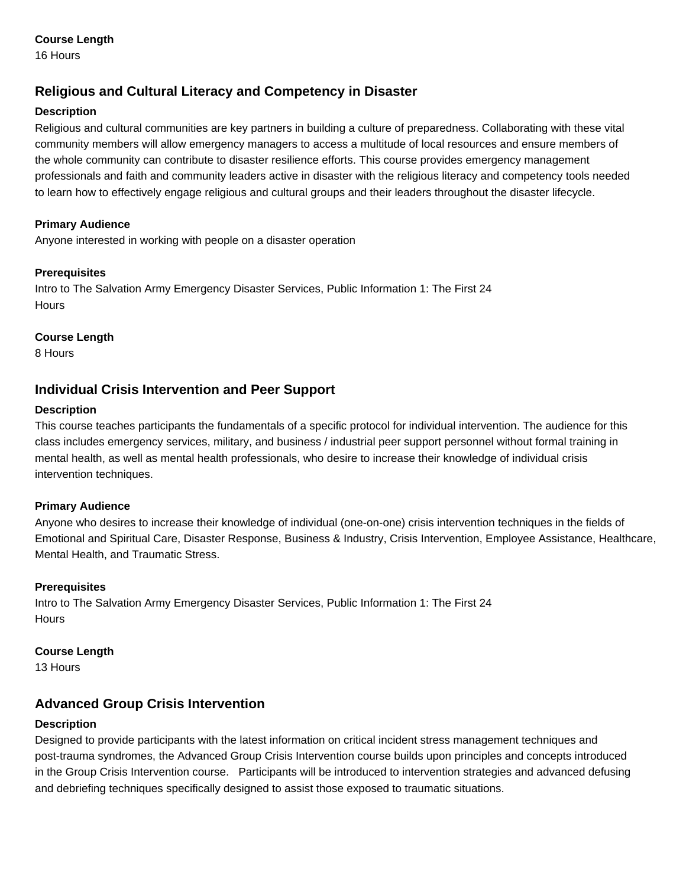### **Course Length**

16 Hours

# **Religious and Cultural Literacy and Competency in Disaster**

### **Description**

Religious and cultural communities are key partners in building a culture of preparedness. Collaborating with these vital community members will allow emergency managers to access a multitude of local resources and ensure members of the whole community can contribute to disaster resilience efforts. This course provides emergency management professionals and faith and community leaders active in disaster with the religious literacy and competency tools needed to learn how to effectively engage religious and cultural groups and their leaders throughout the disaster lifecycle.

### **Primary Audience**

Anyone interested in working with people on a disaster operation

### **Prerequisites**

Intro to The Salvation Army Emergency Disaster Services, Public Information 1: The First 24 **Hours** 

### **Course Length**

8 Hours

# **Individual Crisis Intervention and Peer Support**

### **Description**

This course teaches participants the fundamentals of a specific protocol for individual intervention. The audience for this class includes emergency services, military, and business / industrial peer support personnel without formal training in mental health, as well as mental health professionals, who desire to increase their knowledge of individual crisis intervention techniques.

# **Primary Audience**

Anyone who desires to increase their knowledge of individual (one-on-one) crisis intervention techniques in the fields of Emotional and Spiritual Care, Disaster Response, Business & Industry, Crisis Intervention, Employee Assistance, Healthcare, Mental Health, and Traumatic Stress.

# **Prerequisites**

Intro to The Salvation Army Emergency Disaster Services, Public Information 1: The First 24 Hours

### **Course Length**

13 Hours

# **Advanced Group Crisis Intervention**

# **Description**

Designed to provide participants with the latest information on critical incident stress management techniques and post-trauma syndromes, the Advanced Group Crisis Intervention course builds upon principles and concepts introduced in the Group Crisis Intervention course. Participants will be introduced to intervention strategies and advanced defusing and debriefing techniques specifically designed to assist those exposed to traumatic situations.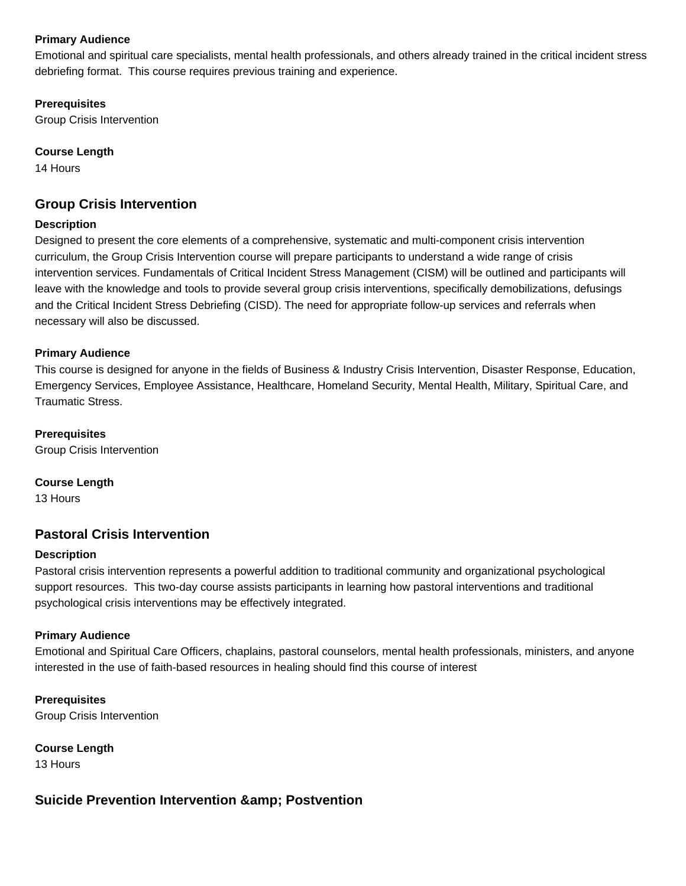### **Primary Audience**

Emotional and spiritual care specialists, mental health professionals, and others already trained in the critical incident stress debriefing format. This course requires previous training and experience.

### **Prerequisites**

Group Crisis Intervention

### **Course Length**

14 Hours

# **Group Crisis Intervention**

### **Description**

Designed to present the core elements of a comprehensive, systematic and multi-component crisis intervention curriculum, the Group Crisis Intervention course will prepare participants to understand a wide range of crisis intervention services. Fundamentals of Critical Incident Stress Management (CISM) will be outlined and participants will leave with the knowledge and tools to provide several group crisis interventions, specifically demobilizations, defusings and the Critical Incident Stress Debriefing (CISD). The need for appropriate follow-up services and referrals when necessary will also be discussed.

### **Primary Audience**

This course is designed for anyone in the fields of Business & Industry Crisis Intervention, Disaster Response, Education, Emergency Services, Employee Assistance, Healthcare, Homeland Security, Mental Health, Military, Spiritual Care, and Traumatic Stress.

### **Prerequisites**

Group Crisis Intervention

### **Course Length**

13 Hours

# **Pastoral Crisis Intervention**

### **Description**

Pastoral crisis intervention represents a powerful addition to traditional community and organizational psychological support resources. This two-day course assists participants in learning how pastoral interventions and traditional psychological crisis interventions may be effectively integrated.

### **Primary Audience**

Emotional and Spiritual Care Officers, chaplains, pastoral counselors, mental health professionals, ministers, and anyone interested in the use of faith-based resources in healing should find this course of interest

**Prerequisites** Group Crisis Intervention

**Course Length** 13 Hours

# **Suicide Prevention Intervention & amp: Postvention**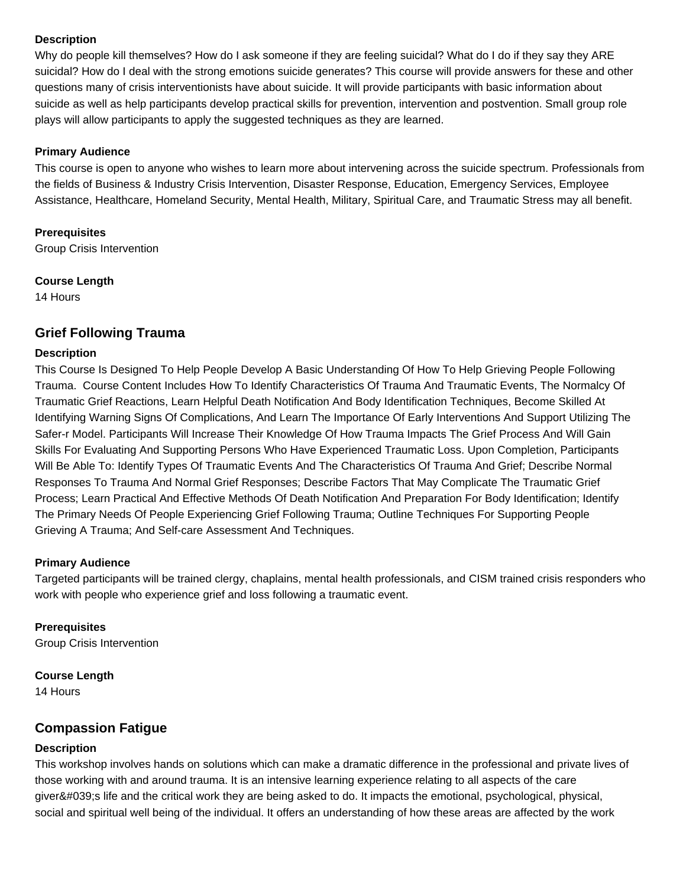### **Description**

Why do people kill themselves? How do I ask someone if they are feeling suicidal? What do I do if they say they ARE suicidal? How do I deal with the strong emotions suicide generates? This course will provide answers for these and other questions many of crisis interventionists have about suicide. It will provide participants with basic information about suicide as well as help participants develop practical skills for prevention, intervention and postvention. Small group role plays will allow participants to apply the suggested techniques as they are learned.

### **Primary Audience**

This course is open to anyone who wishes to learn more about intervening across the suicide spectrum. Professionals from the fields of Business & Industry Crisis Intervention, Disaster Response, Education, Emergency Services, Employee Assistance, Healthcare, Homeland Security, Mental Health, Military, Spiritual Care, and Traumatic Stress may all benefit.

### **Prerequisites**

Group Crisis Intervention

### **Course Length**

14 Hours

# **Grief Following Trauma**

### **Description**

This Course Is Designed To Help People Develop A Basic Understanding Of How To Help Grieving People Following Trauma. Course Content Includes How To Identify Characteristics Of Trauma And Traumatic Events, The Normalcy Of Traumatic Grief Reactions, Learn Helpful Death Notification And Body Identification Techniques, Become Skilled At Identifying Warning Signs Of Complications, And Learn The Importance Of Early Interventions And Support Utilizing The Safer-r Model. Participants Will Increase Their Knowledge Of How Trauma Impacts The Grief Process And Will Gain Skills For Evaluating And Supporting Persons Who Have Experienced Traumatic Loss. Upon Completion, Participants Will Be Able To: Identify Types Of Traumatic Events And The Characteristics Of Trauma And Grief; Describe Normal Responses To Trauma And Normal Grief Responses; Describe Factors That May Complicate The Traumatic Grief Process; Learn Practical And Effective Methods Of Death Notification And Preparation For Body Identification; Identify The Primary Needs Of People Experiencing Grief Following Trauma; Outline Techniques For Supporting People Grieving A Trauma; And Self-care Assessment And Techniques.

### **Primary Audience**

Targeted participants will be trained clergy, chaplains, mental health professionals, and CISM trained crisis responders who work with people who experience grief and loss following a traumatic event.

# **Prerequisites**

Group Crisis Intervention

# **Course Length**

14 Hours

# **Compassion Fatigue**

# **Description**

This workshop involves hands on solutions which can make a dramatic difference in the professional and private lives of those working with and around trauma. It is an intensive learning experience relating to all aspects of the care giver's life and the critical work they are being asked to do. It impacts the emotional, psychological, physical, social and spiritual well being of the individual. It offers an understanding of how these areas are affected by the work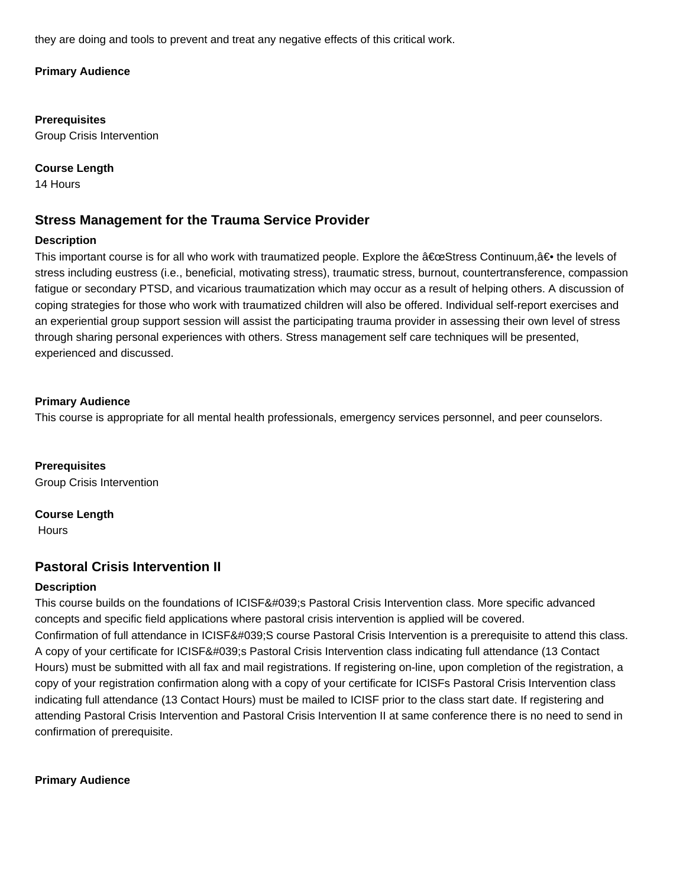they are doing and tools to prevent and treat any negative effects of this critical work.

### **Primary Audience**

**Prerequisites** Group Crisis Intervention

**Course Length**

14 Hours

# **Stress Management for the Trauma Service Provider**

### **Description**

This important course is for all who work with traumatized people. Explore the  $\hat{\alpha} \in \mathbb{C}$ Stress Continuum, $\hat{\alpha} \in \mathbb{R}$  the levels of stress including eustress (i.e., beneficial, motivating stress), traumatic stress, burnout, countertransference, compassion fatigue or secondary PTSD, and vicarious traumatization which may occur as a result of helping others. A discussion of coping strategies for those who work with traumatized children will also be offered. Individual self-report exercises and an experiential group support session will assist the participating trauma provider in assessing their own level of stress through sharing personal experiences with others. Stress management self care techniques will be presented, experienced and discussed.

### **Primary Audience**

This course is appropriate for all mental health professionals, emergency services personnel, and peer counselors.

**Prerequisites** Group Crisis Intervention

**Course Length**

**Hours** 

# **Pastoral Crisis Intervention II**

### **Description**

This course builds on the foundations of ICISF's Pastoral Crisis Intervention class. More specific advanced concepts and specific field applications where pastoral crisis intervention is applied will be covered. Confirmation of full attendance in ICISF'S course Pastoral Crisis Intervention is a prerequisite to attend this class. A copy of your certificate for ICISF's Pastoral Crisis Intervention class indicating full attendance (13 Contact Hours) must be submitted with all fax and mail registrations. If registering on-line, upon completion of the registration, a copy of your registration confirmation along with a copy of your certificate for ICISFs Pastoral Crisis Intervention class indicating full attendance (13 Contact Hours) must be mailed to ICISF prior to the class start date. If registering and attending Pastoral Crisis Intervention and Pastoral Crisis Intervention II at same conference there is no need to send in confirmation of prerequisite.

**Primary Audience**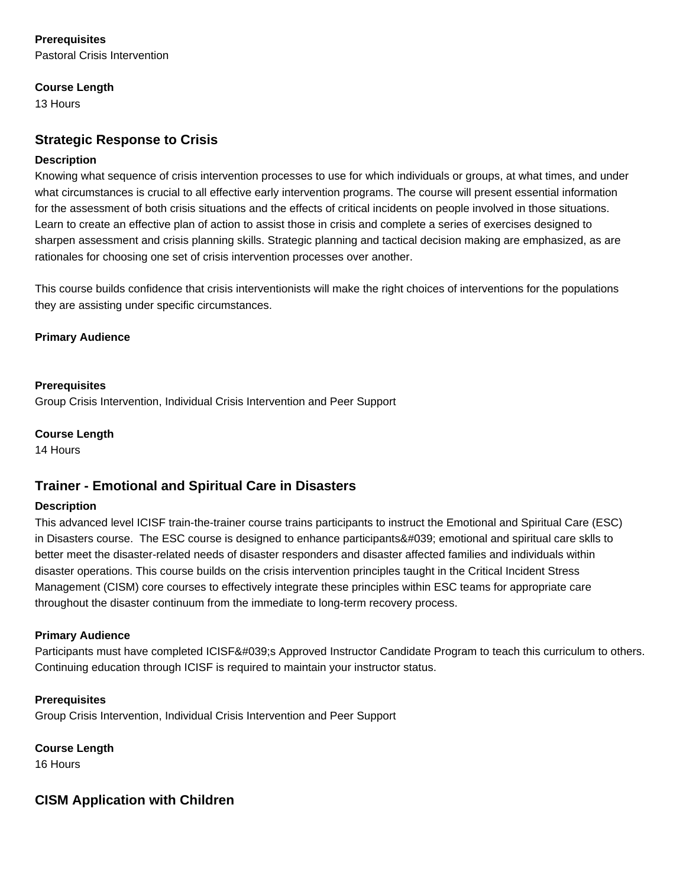# **Prerequisites**

Pastoral Crisis Intervention

### **Course Length**

13 Hours

# **Strategic Response to Crisis**

### **Description**

Knowing what sequence of crisis intervention processes to use for which individuals or groups, at what times, and under what circumstances is crucial to all effective early intervention programs. The course will present essential information for the assessment of both crisis situations and the effects of critical incidents on people involved in those situations. Learn to create an effective plan of action to assist those in crisis and complete a series of exercises designed to sharpen assessment and crisis planning skills. Strategic planning and tactical decision making are emphasized, as are rationales for choosing one set of crisis intervention processes over another.

This course builds confidence that crisis interventionists will make the right choices of interventions for the populations they are assisting under specific circumstances.

### **Primary Audience**

### **Prerequisites**

Group Crisis Intervention, Individual Crisis Intervention and Peer Support

**Course Length**

14 Hours

# **Trainer - Emotional and Spiritual Care in Disasters**

### **Description**

This advanced level ICISF train-the-trainer course trains participants to instruct the Emotional and Spiritual Care (ESC) in Disasters course. The ESC course is designed to enhance participants' emotional and spiritual care sklls to better meet the disaster-related needs of disaster responders and disaster affected families and individuals within disaster operations. This course builds on the crisis intervention principles taught in the Critical Incident Stress Management (CISM) core courses to effectively integrate these principles within ESC teams for appropriate care throughout the disaster continuum from the immediate to long-term recovery process.

# **Primary Audience**

Participants must have completed ICISF's Approved Instructor Candidate Program to teach this curriculum to others. Continuing education through ICISF is required to maintain your instructor status.

**Prerequisites** Group Crisis Intervention, Individual Crisis Intervention and Peer Support

**Course Length** 16 Hours

# **CISM Application with Children**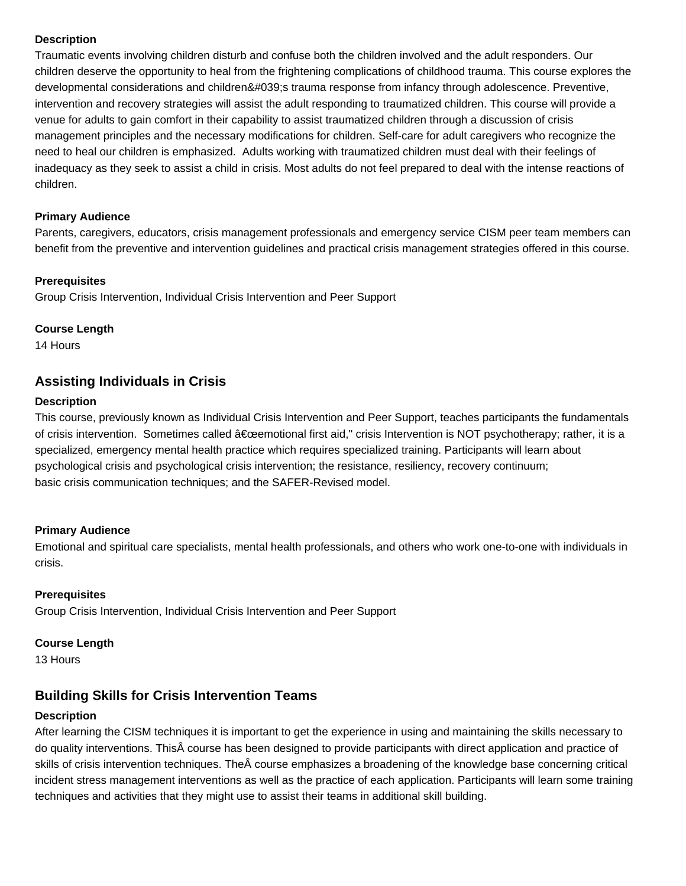### **Description**

Traumatic events involving children disturb and confuse both the children involved and the adult responders. Our children deserve the opportunity to heal from the frightening complications of childhood trauma. This course explores the developmental considerations and children's trauma response from infancy through adolescence. Preventive, intervention and recovery strategies will assist the adult responding to traumatized children. This course will provide a venue for adults to gain comfort in their capability to assist traumatized children through a discussion of crisis management principles and the necessary modifications for children. Self-care for adult caregivers who recognize the need to heal our children is emphasized. Adults working with traumatized children must deal with their feelings of inadequacy as they seek to assist a child in crisis. Most adults do not feel prepared to deal with the intense reactions of children.

#### **Primary Audience**

Parents, caregivers, educators, crisis management professionals and emergency service CISM peer team members can benefit from the preventive and intervention guidelines and practical crisis management strategies offered in this course.

#### **Prerequisites**

Group Crisis Intervention, Individual Crisis Intervention and Peer Support

### **Course Length**

14 Hours

# **Assisting Individuals in Crisis**

#### **Description**

This course, previously known as Individual Crisis Intervention and Peer Support, teaches participants the fundamentals of crisis intervention. Sometimes called  $\hat{a} \in \hat{c}$ eemotional first aid," crisis Intervention is NOT psychotherapy; rather, it is a specialized, emergency mental health practice which requires specialized training. Participants will learn about psychological crisis and psychological crisis intervention; the resistance, resiliency, recovery continuum; basic crisis communication techniques; and the SAFER-Revised model.

### **Primary Audience**

Emotional and spiritual care specialists, mental health professionals, and others who work one-to-one with individuals in crisis.

### **Prerequisites**

Group Crisis Intervention, Individual Crisis Intervention and Peer Support

#### **Course Length**

13 Hours

# **Building Skills for Crisis Intervention Teams**

#### **Description**

After learning the CISM techniques it is important to get the experience in using and maintaining the skills necessary to do quality interventions. This course has been designed to provide participants with direct application and practice of skills of crisis intervention techniques. The course emphasizes a broadening of the knowledge base concerning critical incident stress management interventions as well as the practice of each application. Participants will learn some training techniques and activities that they might use to assist their teams in additional skill building.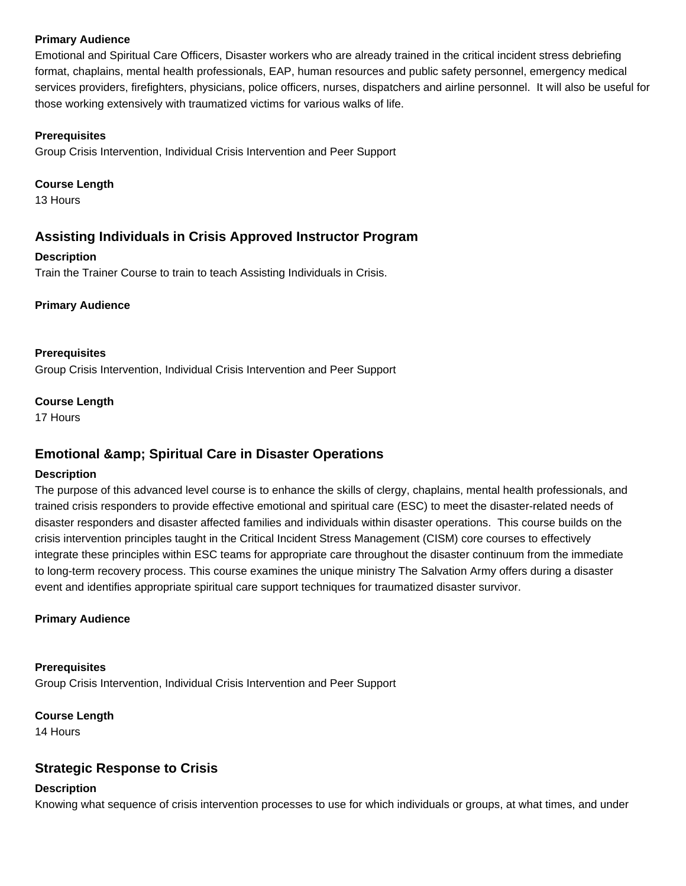### **Primary Audience**

Emotional and Spiritual Care Officers, Disaster workers who are already trained in the critical incident stress debriefing format, chaplains, mental health professionals, EAP, human resources and public safety personnel, emergency medical services providers, firefighters, physicians, police officers, nurses, dispatchers and airline personnel. It will also be useful for those working extensively with traumatized victims for various walks of life.

#### **Prerequisites**

Group Crisis Intervention, Individual Crisis Intervention and Peer Support

#### **Course Length**

13 Hours

# **Assisting Individuals in Crisis Approved Instructor Program**

#### **Description**

Train the Trainer Course to train to teach Assisting Individuals in Crisis.

#### **Primary Audience**

#### **Prerequisites**

Group Crisis Intervention, Individual Crisis Intervention and Peer Support

#### **Course Length**

17 Hours

# **Emotional & amp; Spiritual Care in Disaster Operations**

### **Description**

The purpose of this advanced level course is to enhance the skills of clergy, chaplains, mental health professionals, and trained crisis responders to provide effective emotional and spiritual care (ESC) to meet the disaster-related needs of disaster responders and disaster affected families and individuals within disaster operations. This course builds on the crisis intervention principles taught in the Critical Incident Stress Management (CISM) core courses to effectively integrate these principles within ESC teams for appropriate care throughout the disaster continuum from the immediate to long-term recovery process. This course examines the unique ministry The Salvation Army offers during a disaster event and identifies appropriate spiritual care support techniques for traumatized disaster survivor.

### **Primary Audience**

#### **Prerequisites** Group Crisis Intervention, Individual Crisis Intervention and Peer Support

### **Course Length**

14 Hours

# **Strategic Response to Crisis**

### **Description**

Knowing what sequence of crisis intervention processes to use for which individuals or groups, at what times, and under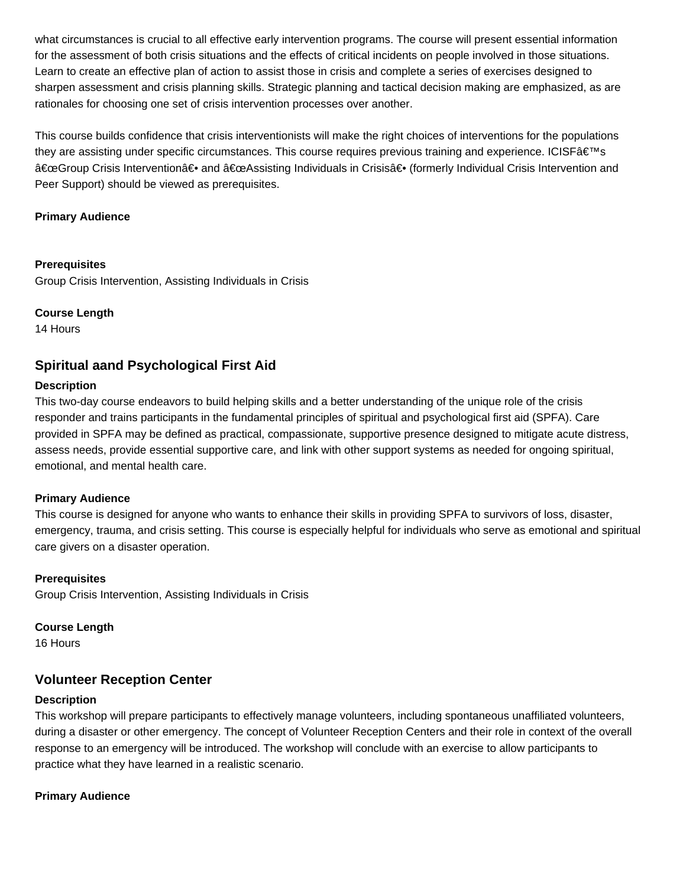what circumstances is crucial to all effective early intervention programs. The course will present essential information for the assessment of both crisis situations and the effects of critical incidents on people involved in those situations. Learn to create an effective plan of action to assist those in crisis and complete a series of exercises designed to sharpen assessment and crisis planning skills. Strategic planning and tactical decision making are emphasized, as are rationales for choosing one set of crisis intervention processes over another.

This course builds confidence that crisis interventionists will make the right choices of interventions for the populations they are assisting under specific circumstances. This course requires previous training and experience. ICISF's "Group Crisis Intervention― and "Assisting Individuals in Crisis― (formerly Individual Crisis Intervention and Peer Support) should be viewed as prerequisites.

### **Primary Audience**

#### **Prerequisites**

Group Crisis Intervention, Assisting Individuals in Crisis

#### **Course Length**

14 Hours

# **Spiritual aand Psychological First Aid**

### **Description**

This two-day course endeavors to build helping skills and a better understanding of the unique role of the crisis responder and trains participants in the fundamental principles of spiritual and psychological first aid (SPFA). Care provided in SPFA may be defined as practical, compassionate, supportive presence designed to mitigate acute distress, assess needs, provide essential supportive care, and link with other support systems as needed for ongoing spiritual, emotional, and mental health care.

### **Primary Audience**

This course is designed for anyone who wants to enhance their skills in providing SPFA to survivors of loss, disaster, emergency, trauma, and crisis setting. This course is especially helpful for individuals who serve as emotional and spiritual care givers on a disaster operation.

### **Prerequisites**

Group Crisis Intervention, Assisting Individuals in Crisis

# **Course Length**

16 Hours

# **Volunteer Reception Center**

### **Description**

This workshop will prepare participants to effectively manage volunteers, including spontaneous unaffiliated volunteers, during a disaster or other emergency. The concept of Volunteer Reception Centers and their role in context of the overall response to an emergency will be introduced. The workshop will conclude with an exercise to allow participants to practice what they have learned in a realistic scenario.

### **Primary Audience**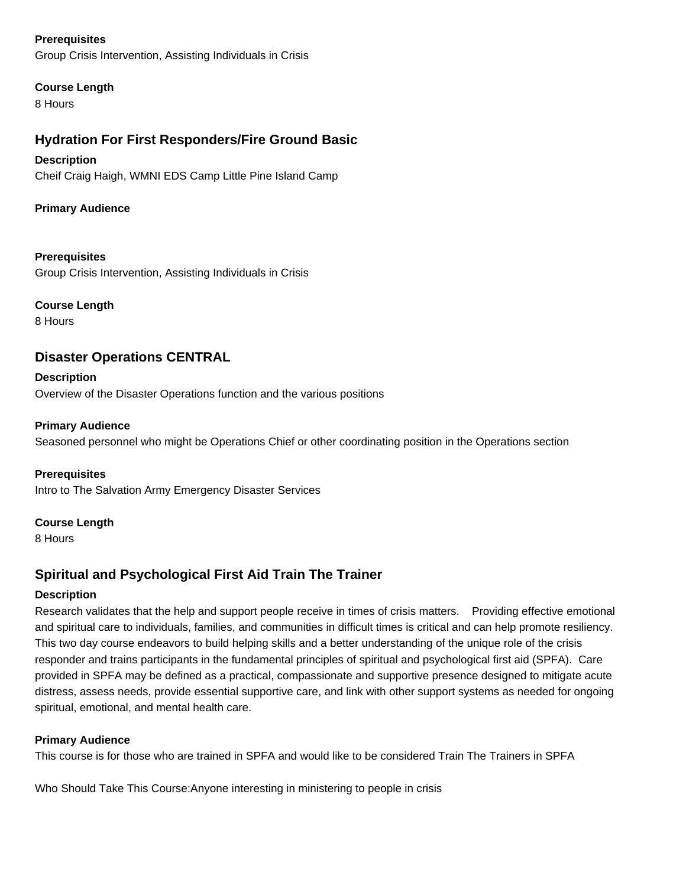### **Prerequisites**

Group Crisis Intervention, Assisting Individuals in Crisis

### **Course Length**

8 Hours

# **Hydration For First Responders/Fire Ground Basic**

### **Description**

Cheif Craig Haigh, WMNI EDS Camp Little Pine Island Camp

### **Primary Audience**

### **Prerequisites**

Group Crisis Intervention, Assisting Individuals in Crisis

### **Course Length**

8 Hours

# **Disaster Operations CENTRAL**

**Description** Overview of the Disaster Operations function and the various positions

### **Primary Audience**

Seasoned personnel who might be Operations Chief or other coordinating position in the Operations section

### **Prerequisites**

Intro to The Salvation Army Emergency Disaster Services

### **Course Length**

8 Hours

# **Spiritual and Psychological First Aid Train The Trainer**

# **Description**

Research validates that the help and support people receive in times of crisis matters. Providing effective emotional and spiritual care to individuals, families, and communities in difficult times is critical and can help promote resiliency. This two day course endeavors to build helping skills and a better understanding of the unique role of the crisis responder and trains participants in the fundamental principles of spiritual and psychological first aid (SPFA). Care provided in SPFA may be defined as a practical, compassionate and supportive presence designed to mitigate acute distress, assess needs, provide essential supportive care, and link with other support systems as needed for ongoing spiritual, emotional, and mental health care.

### **Primary Audience**

This course is for those who are trained in SPFA and would like to be considered Train The Trainers in SPFA

Who Should Take This Course: Anyone interesting in ministering to people in crisis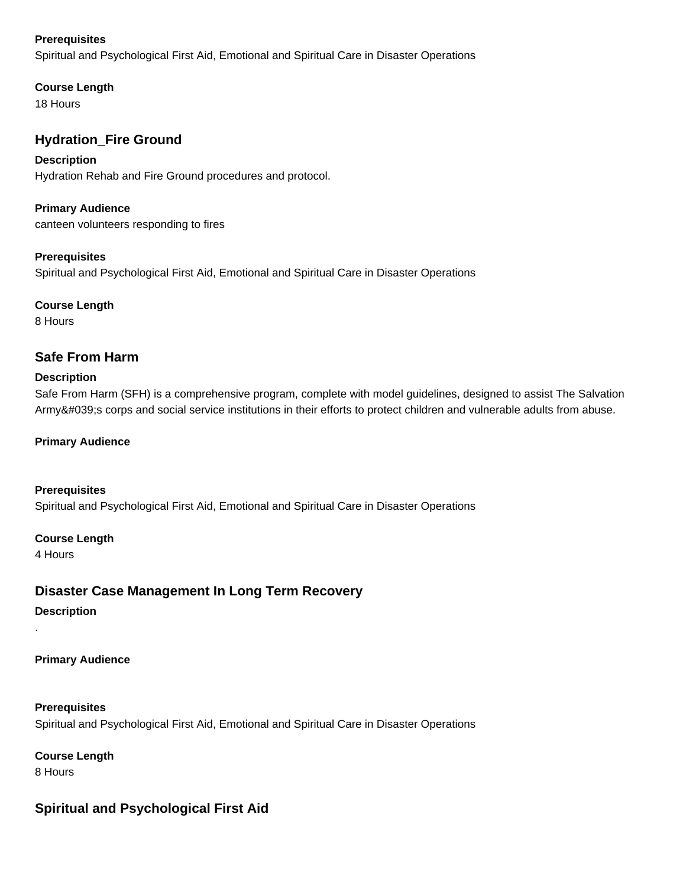### **Prerequisites**

Spiritual and Psychological First Aid, Emotional and Spiritual Care in Disaster Operations

### **Course Length**

18 Hours

# **Hydration\_Fire Ground**

### **Description**

Hydration Rehab and Fire Ground procedures and protocol.

**Primary Audience** canteen volunteers responding to fires

### **Prerequisites**

Spiritual and Psychological First Aid, Emotional and Spiritual Care in Disaster Operations

### **Course Length**

8 Hours

# **Safe From Harm**

### **Description**

Safe From Harm (SFH) is a comprehensive program, complete with model guidelines, designed to assist The Salvation Army's corps and social service institutions in their efforts to protect children and vulnerable adults from abuse.

### **Primary Audience**

**Prerequisites** Spiritual and Psychological First Aid, Emotional and Spiritual Care in Disaster Operations

### **Course Length**

4 Hours

.

# **Disaster Case Management In Long Term Recovery**

**Description**

### **Primary Audience**

**Prerequisites** Spiritual and Psychological First Aid, Emotional and Spiritual Care in Disaster Operations

**Course Length** 8 Hours

# **Spiritual and Psychological First Aid**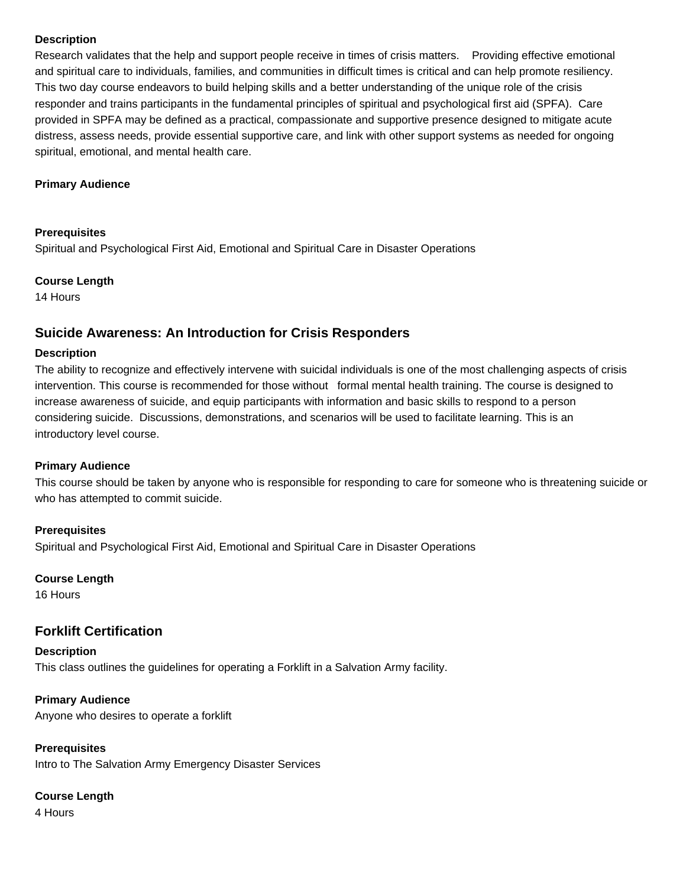### **Description**

Research validates that the help and support people receive in times of crisis matters. Providing effective emotional and spiritual care to individuals, families, and communities in difficult times is critical and can help promote resiliency. This two day course endeavors to build helping skills and a better understanding of the unique role of the crisis responder and trains participants in the fundamental principles of spiritual and psychological first aid (SPFA). Care provided in SPFA may be defined as a practical, compassionate and supportive presence designed to mitigate acute distress, assess needs, provide essential supportive care, and link with other support systems as needed for ongoing spiritual, emotional, and mental health care.

#### **Primary Audience**

#### **Prerequisites**

Spiritual and Psychological First Aid, Emotional and Spiritual Care in Disaster Operations

#### **Course Length**

14 Hours

# **Suicide Awareness: An Introduction for Crisis Responders**

#### **Description**

The ability to recognize and effectively intervene with suicidal individuals is one of the most challenging aspects of crisis intervention. This course is recommended for those without formal mental health training. The course is designed to increase awareness of suicide, and equip participants with information and basic skills to respond to a person considering suicide. Discussions, demonstrations, and scenarios will be used to facilitate learning. This is an introductory level course.

#### **Primary Audience**

This course should be taken by anyone who is responsible for responding to care for someone who is threatening suicide or who has attempted to commit suicide.

#### **Prerequisites**

Spiritual and Psychological First Aid, Emotional and Spiritual Care in Disaster Operations

### **Course Length**

16 Hours

# **Forklift Certification**

**Description** This class outlines the guidelines for operating a Forklift in a Salvation Army facility.

#### **Primary Audience** Anyone who desires to operate a forklift

**Prerequisites** Intro to The Salvation Army Emergency Disaster Services

### **Course Length**

4 Hours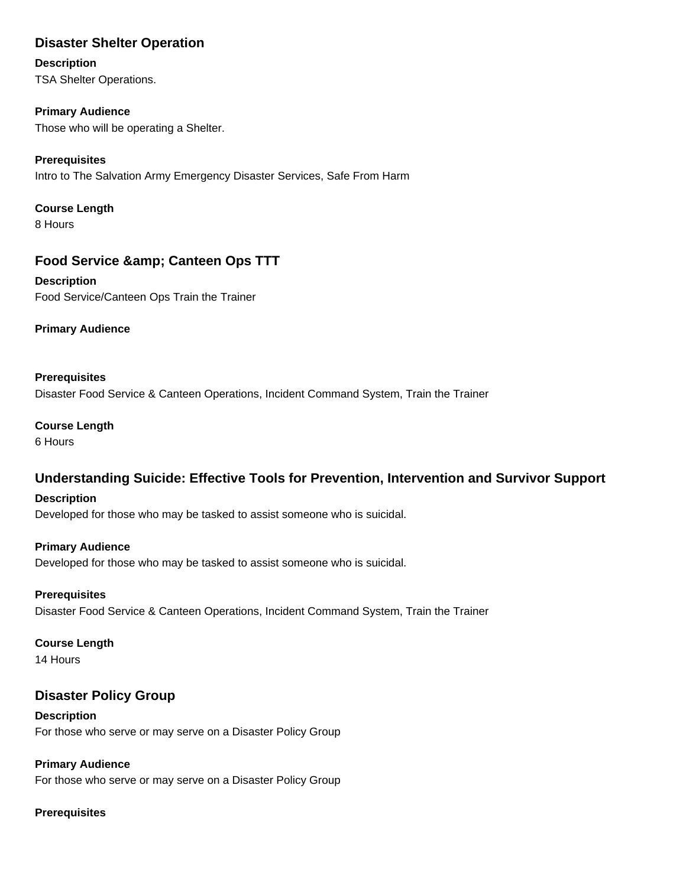# **Disaster Shelter Operation**

### **Description**

TSA Shelter Operations.

### **Primary Audience**

Those who will be operating a Shelter.

# **Prerequisites**

Intro to The Salvation Army Emergency Disaster Services, Safe From Harm

# **Course Length**

8 Hours

# **Food Service & amp; Canteen Ops TTT**

**Description** Food Service/Canteen Ops Train the Trainer

**Primary Audience**

### **Prerequisites**

Disaster Food Service & Canteen Operations, Incident Command System, Train the Trainer

# **Course Length**

6 Hours

# **Understanding Suicide: Effective Tools for Prevention, Intervention and Survivor Support**

### **Description**

Developed for those who may be tasked to assist someone who is suicidal.

### **Primary Audience**

Developed for those who may be tasked to assist someone who is suicidal.

### **Prerequisites**

Disaster Food Service & Canteen Operations, Incident Command System, Train the Trainer

### **Course Length**

14 Hours

# **Disaster Policy Group**

**Description** For those who serve or may serve on a Disaster Policy Group

# **Primary Audience**

For those who serve or may serve on a Disaster Policy Group

# **Prerequisites**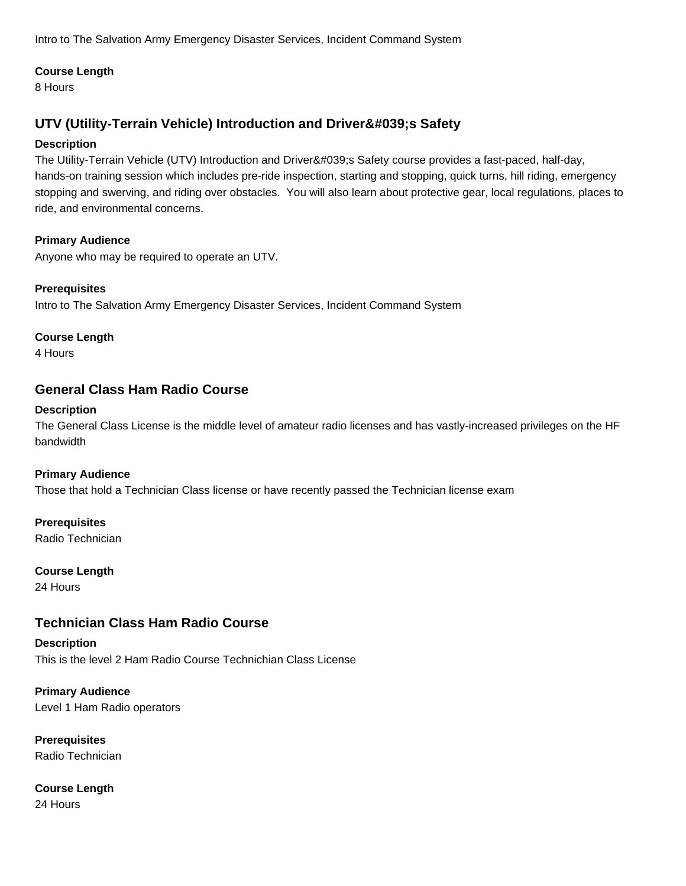Intro to The Salvation Army Emergency Disaster Services, Incident Command System

### **Course Length**

8 Hours

# **UTV (Utility-Terrain Vehicle) Introduction and Driver's Safety**

### **Description**

The Utility-Terrain Vehicle (UTV) Introduction and Driver's Safety course provides a fast-paced, half-day, hands-on training session which includes pre-ride inspection, starting and stopping, quick turns, hill riding, emergency stopping and swerving, and riding over obstacles. You will also learn about protective gear, local regulations, places to ride, and environmental concerns.

### **Primary Audience**

Anyone who may be required to operate an UTV.

### **Prerequisites**

Intro to The Salvation Army Emergency Disaster Services, Incident Command System

### **Course Length**

4 Hours

# **General Class Ham Radio Course**

### **Description**

The General Class License is the middle level of amateur radio licenses and has vastly-increased privileges on the HF bandwidth

# **Primary Audience**

Those that hold a Technician Class license or have recently passed the Technician license exam

# **Prerequisites**

Radio Technician

# **Course Length**

24 Hours

# **Technician Class Ham Radio Course**

# **Description** This is the level 2 Ham Radio Course Technichian Class License

**Primary Audience** Level 1 Ham Radio operators

**Prerequisites** Radio Technician

# **Course Length**

24 Hours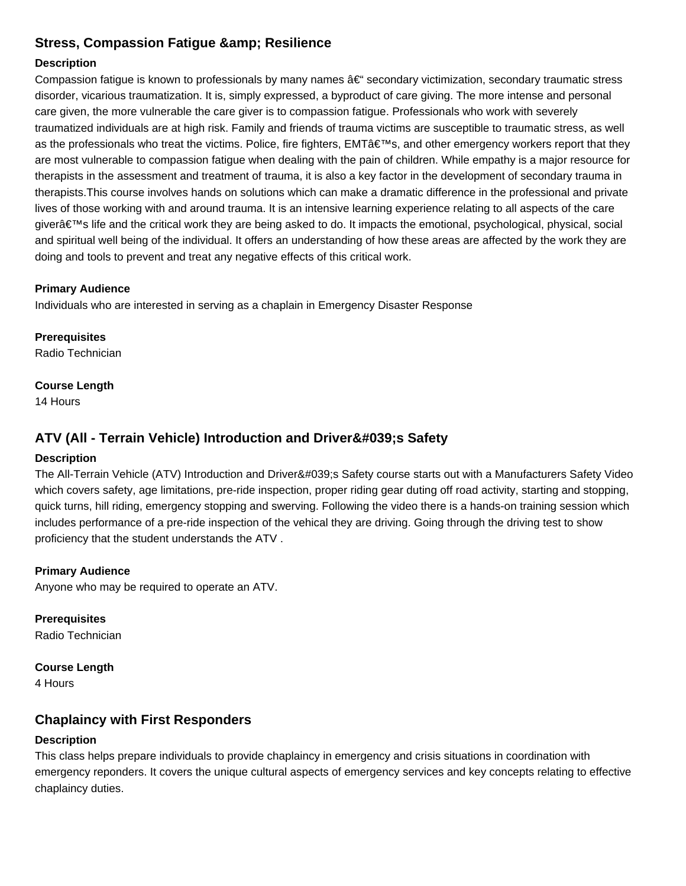# **Stress, Compassion Fatigue & amp; Resilience**

### **Description**

Compassion fatigue is known to professionals by many names  $a \in \mathbb{C}^*$  secondary victimization, secondary traumatic stress disorder, vicarious traumatization. It is, simply expressed, a byproduct of care giving. The more intense and personal care given, the more vulnerable the care giver is to compassion fatigue. Professionals who work with severely traumatized individuals are at high risk. Family and friends of trauma victims are susceptible to traumatic stress, as well as the professionals who treat the victims. Police, fire fighters, EMTâ  $\epsilon$ <sup>m</sup>s, and other emergency workers report that they are most vulnerable to compassion fatigue when dealing with the pain of children. While empathy is a major resource for therapists in the assessment and treatment of trauma, it is also a key factor in the development of secondary trauma in therapists.This course involves hands on solutions which can make a dramatic difference in the professional and private lives of those working with and around trauma. It is an intensive learning experience relating to all aspects of the care giver's life and the critical work they are being asked to do. It impacts the emotional, psychological, physical, social and spiritual well being of the individual. It offers an understanding of how these areas are affected by the work they are doing and tools to prevent and treat any negative effects of this critical work.

#### **Primary Audience**

Individuals who are interested in serving as a chaplain in Emergency Disaster Response

**Prerequisites** Radio Technician

#### **Course Length**

14 Hours

# **ATV (All - Terrain Vehicle) Introduction and Driver's Safety**

### **Description**

The All-Terrain Vehicle (ATV) Introduction and Driver's Safety course starts out with a Manufacturers Safety Video which covers safety, age limitations, pre-ride inspection, proper riding gear duting off road activity, starting and stopping, quick turns, hill riding, emergency stopping and swerving. Following the video there is a hands-on training session which includes performance of a pre-ride inspection of the vehical they are driving. Going through the driving test to show proficiency that the student understands the ATV .

### **Primary Audience**

Anyone who may be required to operate an ATV.

**Prerequisites** Radio Technician

**Course Length**

4 Hours

# **Chaplaincy with First Responders**

### **Description**

This class helps prepare individuals to provide chaplaincy in emergency and crisis situations in coordination with emergency reponders. It covers the unique cultural aspects of emergency services and key concepts relating to effective chaplaincy duties.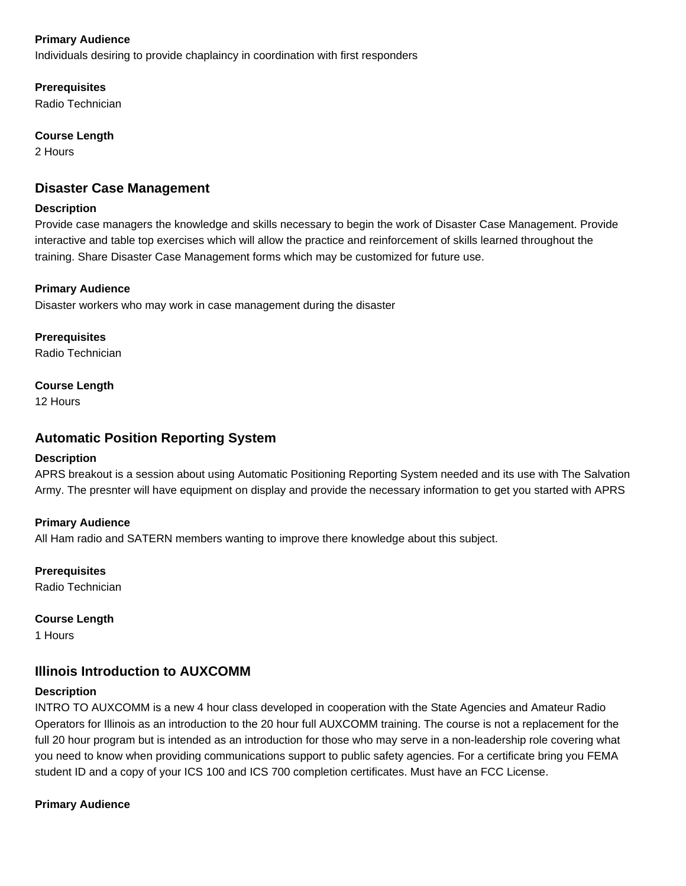### **Primary Audience**

Individuals desiring to provide chaplaincy in coordination with first responders

**Prerequisites**

Radio Technician

### **Course Length**

2 Hours

# **Disaster Case Management**

#### **Description**

Provide case managers the knowledge and skills necessary to begin the work of Disaster Case Management. Provide interactive and table top exercises which will allow the practice and reinforcement of skills learned throughout the training. Share Disaster Case Management forms which may be customized for future use.

### **Primary Audience**

Disaster workers who may work in case management during the disaster

**Prerequisites** Radio Technician

# **Course Length**

12 Hours

# **Automatic Position Reporting System**

### **Description**

APRS breakout is a session about using Automatic Positioning Reporting System needed and its use with The Salvation Army. The presnter will have equipment on display and provide the necessary information to get you started with APRS

### **Primary Audience**

All Ham radio and SATERN members wanting to improve there knowledge about this subject.

**Prerequisites**

Radio Technician

**Course Length**

1 Hours

# **Illinois Introduction to AUXCOMM**

### **Description**

INTRO TO AUXCOMM is a new 4 hour class developed in cooperation with the State Agencies and Amateur Radio Operators for Illinois as an introduction to the 20 hour full AUXCOMM training. The course is not a replacement for the full 20 hour program but is intended as an introduction for those who may serve in a non-leadership role covering what you need to know when providing communications support to public safety agencies. For a certificate bring you FEMA student ID and a copy of your ICS 100 and ICS 700 completion certificates. Must have an FCC License.

### **Primary Audience**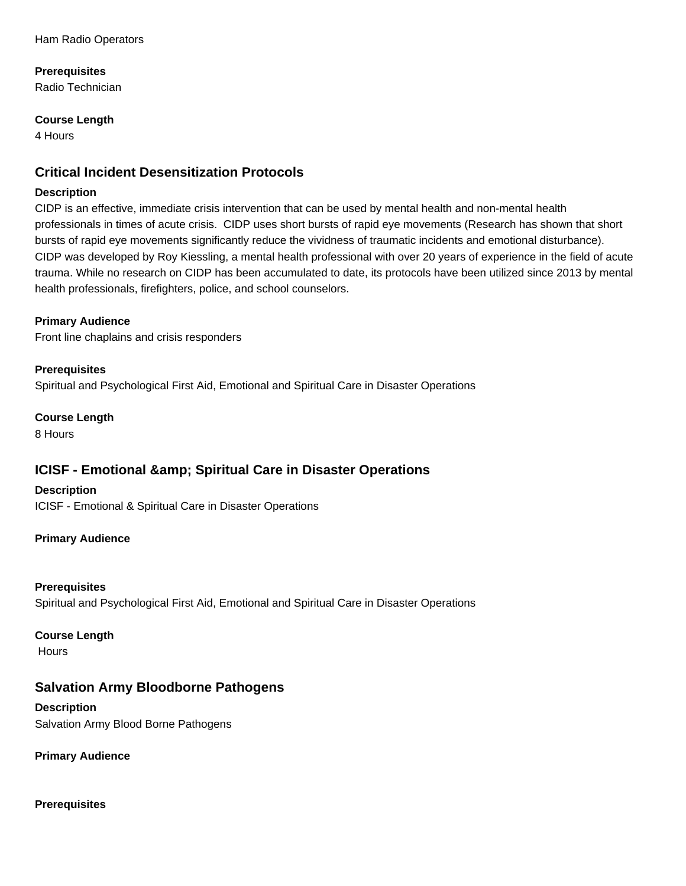### **Prerequisites**

Radio Technician

### **Course Length**

4 Hours

# **Critical Incident Desensitization Protocols**

### **Description**

CIDP is an effective, immediate crisis intervention that can be used by mental health and non-mental health professionals in times of acute crisis. CIDP uses short bursts of rapid eye movements (Research has shown that short bursts of rapid eye movements significantly reduce the vividness of traumatic incidents and emotional disturbance). CIDP was developed by Roy Kiessling, a mental health professional with over 20 years of experience in the field of acute trauma. While no research on CIDP has been accumulated to date, its protocols have been utilized since 2013 by mental health professionals, firefighters, police, and school counselors.

# **Primary Audience**

Front line chaplains and crisis responders

# **Prerequisites**

Spiritual and Psychological First Aid, Emotional and Spiritual Care in Disaster Operations

**Course Length**

8 Hours

# **ICISF - Emotional & amp; Spiritual Care in Disaster Operations**

**Description** ICISF - Emotional & Spiritual Care in Disaster Operations

# **Primary Audience**

# **Prerequisites**

Spiritual and Psychological First Aid, Emotional and Spiritual Care in Disaster Operations

### **Course Length**

**Hours** 

# **Salvation Army Bloodborne Pathogens**

### **Description** Salvation Army Blood Borne Pathogens

**Primary Audience**

### **Prerequisites**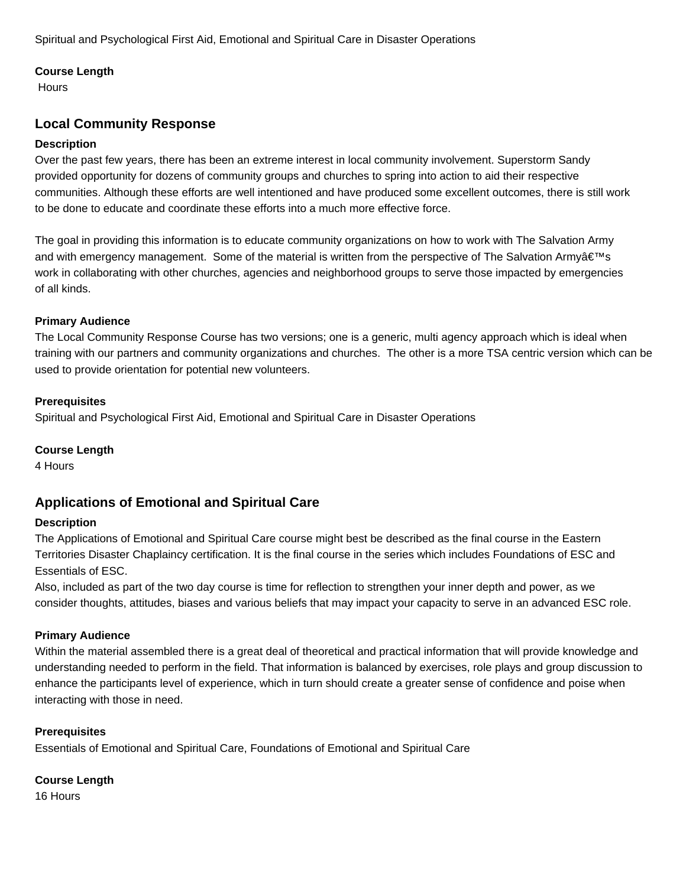Spiritual and Psychological First Aid, Emotional and Spiritual Care in Disaster Operations

### **Course Length**

**Hours** 

# **Local Community Response**

### **Description**

Over the past few years, there has been an extreme interest in local community involvement. Superstorm Sandy provided opportunity for dozens of community groups and churches to spring into action to aid their respective communities. Although these efforts are well intentioned and have produced some excellent outcomes, there is still work to be done to educate and coordinate these efforts into a much more effective force.

The goal in providing this information is to educate community organizations on how to work with The Salvation Army and with emergency management. Some of the material is written from the perspective of The Salvation Army at The work in collaborating with other churches, agencies and neighborhood groups to serve those impacted by emergencies of all kinds.

### **Primary Audience**

The Local Community Response Course has two versions; one is a generic, multi agency approach which is ideal when training with our partners and community organizations and churches. The other is a more TSA centric version which can be used to provide orientation for potential new volunteers.

### **Prerequisites**

Spiritual and Psychological First Aid, Emotional and Spiritual Care in Disaster Operations

### **Course Length**

4 Hours

# **Applications of Emotional and Spiritual Care**

### **Description**

The Applications of Emotional and Spiritual Care course might best be described as the final course in the Eastern Territories Disaster Chaplaincy certification. It is the final course in the series which includes Foundations of ESC and Essentials of ESC.

Also, included as part of the two day course is time for reflection to strengthen your inner depth and power, as we consider thoughts, attitudes, biases and various beliefs that may impact your capacity to serve in an advanced ESC role.

### **Primary Audience**

Within the material assembled there is a great deal of theoretical and practical information that will provide knowledge and understanding needed to perform in the field. That information is balanced by exercises, role plays and group discussion to enhance the participants level of experience, which in turn should create a greater sense of confidence and poise when interacting with those in need.

### **Prerequisites**

Essentials of Emotional and Spiritual Care, Foundations of Emotional and Spiritual Care

# **Course Length**

16 Hours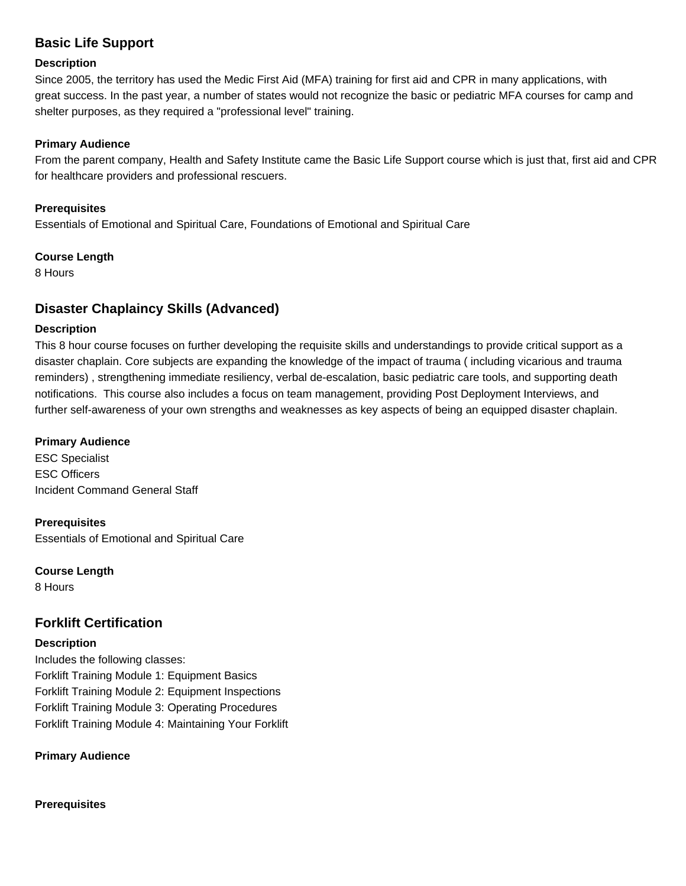# **Basic Life Support**

#### **Description**

Since 2005, the territory has used the Medic First Aid (MFA) training for first aid and CPR in many applications, with great success. In the past year, a number of states would not recognize the basic or pediatric MFA courses for camp and shelter purposes, as they required a "professional level" training.

### **Primary Audience**

From the parent company, Health and Safety Institute came the Basic Life Support course which is just that, first aid and CPR for healthcare providers and professional rescuers.

### **Prerequisites**

Essentials of Emotional and Spiritual Care, Foundations of Emotional and Spiritual Care

### **Course Length**

8 Hours

# **Disaster Chaplaincy Skills (Advanced)**

### **Description**

This 8 hour course focuses on further developing the requisite skills and understandings to provide critical support as a disaster chaplain. Core subjects are expanding the knowledge of the impact of trauma ( including vicarious and trauma reminders) , strengthening immediate resiliency, verbal de-escalation, basic pediatric care tools, and supporting death notifications. This course also includes a focus on team management, providing Post Deployment Interviews, and further self-awareness of your own strengths and weaknesses as key aspects of being an equipped disaster chaplain.

### **Primary Audience**

ESC Specialist ESC Officers Incident Command General Staff

**Prerequisites** Essentials of Emotional and Spiritual Care

**Course Length** 8 Hours

# **Forklift Certification**

### **Description**

Includes the following classes: Forklift Training Module 1: Equipment Basics Forklift Training Module 2: Equipment Inspections Forklift Training Module 3: Operating Procedures Forklift Training Module 4: Maintaining Your Forklift

**Primary Audience**

**Prerequisites**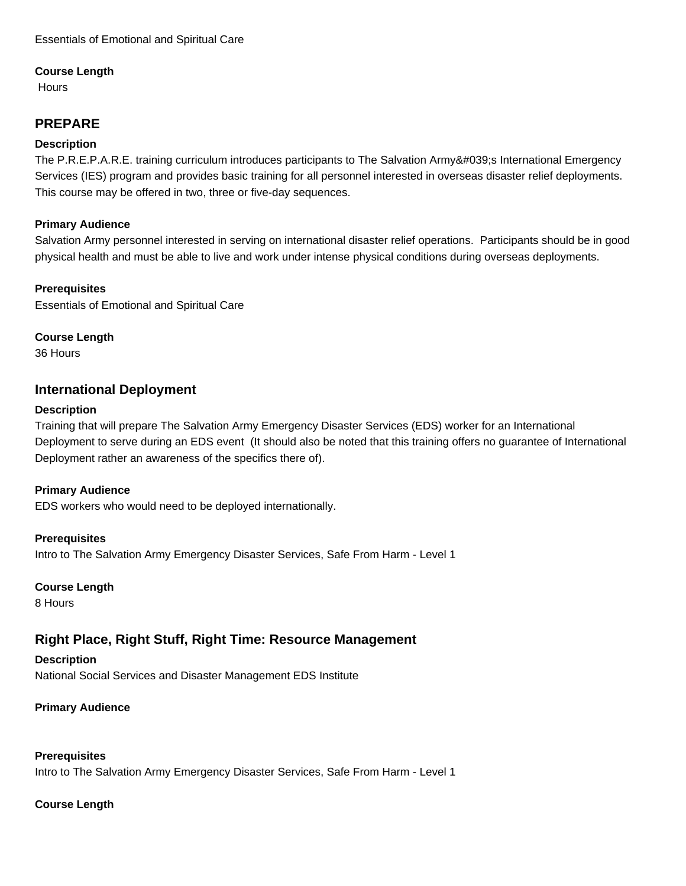### **Course Length**

**Hours** 

# **PREPARE**

### **Description**

The P.R.E.P.A.R.E. training curriculum introduces participants to The Salvation Army's International Emergency Services (IES) program and provides basic training for all personnel interested in overseas disaster relief deployments. This course may be offered in two, three or five-day sequences.

### **Primary Audience**

Salvation Army personnel interested in serving on international disaster relief operations. Participants should be in good physical health and must be able to live and work under intense physical conditions during overseas deployments.

### **Prerequisites**

Essentials of Emotional and Spiritual Care

### **Course Length**

36 Hours

# **International Deployment**

### **Description**

Training that will prepare The Salvation Army Emergency Disaster Services (EDS) worker for an International Deployment to serve during an EDS event (It should also be noted that this training offers no guarantee of International Deployment rather an awareness of the specifics there of).

### **Primary Audience**

EDS workers who would need to be deployed internationally.

### **Prerequisites**

Intro to The Salvation Army Emergency Disaster Services, Safe From Harm - Level 1

### **Course Length**

8 Hours

# **Right Place, Right Stuff, Right Time: Resource Management**

**Description** National Social Services and Disaster Management EDS Institute

# **Primary Audience**

# **Prerequisites**

Intro to The Salvation Army Emergency Disaster Services, Safe From Harm - Level 1

# **Course Length**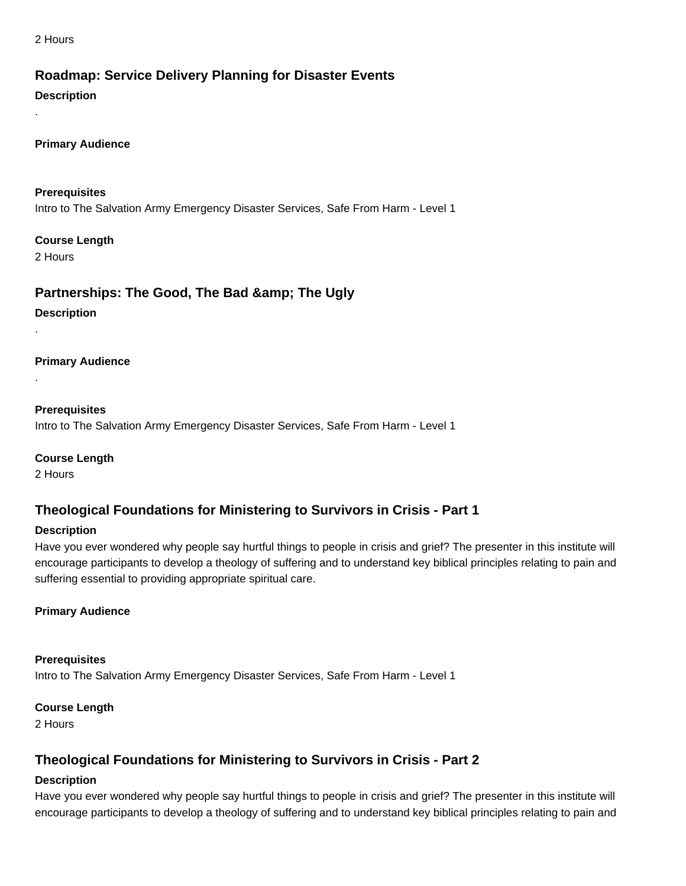2 Hours

# **Roadmap: Service Delivery Planning for Disaster Events**

### **Description**

.

**Primary Audience**

**Prerequisites** Intro to The Salvation Army Emergency Disaster Services, Safe From Harm - Level 1

### **Course Length**

2 Hours

.

.

# **Partnerships: The Good, The Bad & amp; The Ugly**

**Description**

**Primary Audience**

**Prerequisites** Intro to The Salvation Army Emergency Disaster Services, Safe From Harm - Level 1

**Course Length** 2 Hours

# **Theological Foundations for Ministering to Survivors in Crisis - Part 1**

### **Description**

Have you ever wondered why people say hurtful things to people in crisis and grief? The presenter in this institute will encourage participants to develop a theology of suffering and to understand key biblical principles relating to pain and suffering essential to providing appropriate spiritual care.

# **Primary Audience**

**Prerequisites** Intro to The Salvation Army Emergency Disaster Services, Safe From Harm - Level 1

### **Course Length**

2 Hours

# **Theological Foundations for Ministering to Survivors in Crisis - Part 2**

# **Description**

Have you ever wondered why people say hurtful things to people in crisis and grief? The presenter in this institute will encourage participants to develop a theology of suffering and to understand key biblical principles relating to pain and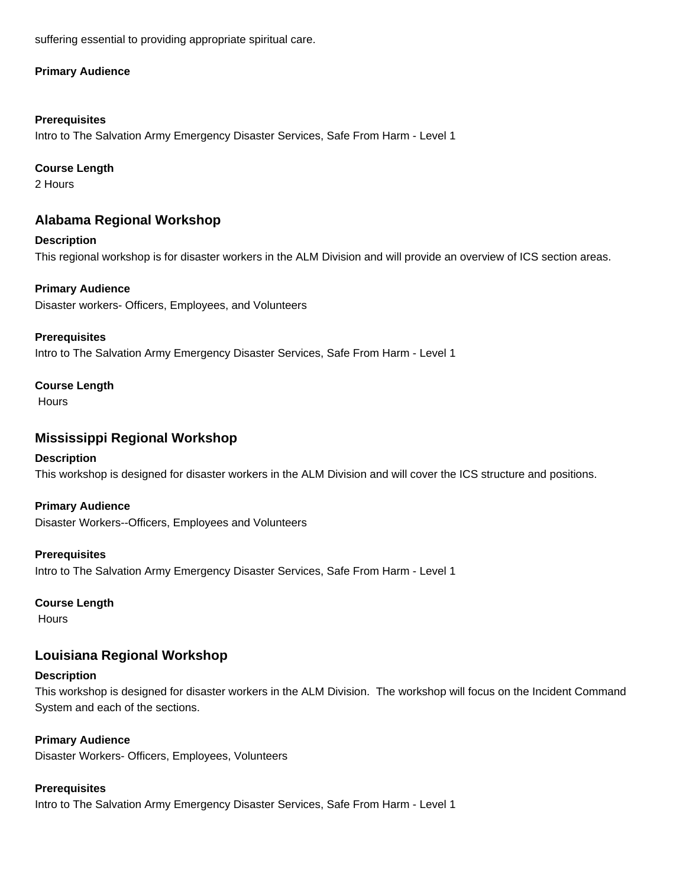suffering essential to providing appropriate spiritual care.

### **Primary Audience**

### **Prerequisites**

Intro to The Salvation Army Emergency Disaster Services, Safe From Harm - Level 1

### **Course Length**

2 Hours

# **Alabama Regional Workshop**

**Description** This regional workshop is for disaster workers in the ALM Division and will provide an overview of ICS section areas.

### **Primary Audience**

Disaster workers- Officers, Employees, and Volunteers

### **Prerequisites**

Intro to The Salvation Army Emergency Disaster Services, Safe From Harm - Level 1

### **Course Length**

**Hours** 

# **Mississippi Regional Workshop**

# **Description**

This workshop is designed for disaster workers in the ALM Division and will cover the ICS structure and positions.

# **Primary Audience**

Disaster Workers--Officers, Employees and Volunteers

### **Prerequisites**

Intro to The Salvation Army Emergency Disaster Services, Safe From Harm - Level 1

### **Course Length**

Hours

# **Louisiana Regional Workshop**

### **Description**

This workshop is designed for disaster workers in the ALM Division. The workshop will focus on the Incident Command System and each of the sections.

### **Primary Audience**

Disaster Workers- Officers, Employees, Volunteers

# **Prerequisites**

Intro to The Salvation Army Emergency Disaster Services, Safe From Harm - Level 1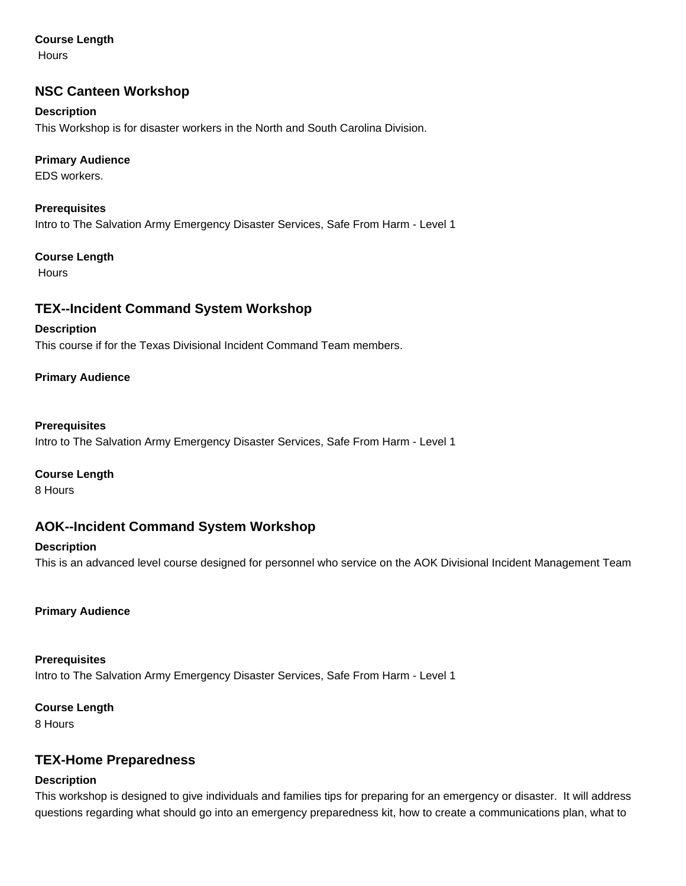### **Course Length**

**Hours** 

# **NSC Canteen Workshop**

### **Description**

This Workshop is for disaster workers in the North and South Carolina Division.

### **Primary Audience**

EDS workers.

**Prerequisites** Intro to The Salvation Army Emergency Disaster Services, Safe From Harm - Level 1

### **Course Length**

**Hours** 

# **TEX--Incident Command System Workshop**

### **Description**

This course if for the Texas Divisional Incident Command Team members.

### **Primary Audience**

### **Prerequisites**

Intro to The Salvation Army Emergency Disaster Services, Safe From Harm - Level 1

### **Course Length**

8 Hours

# **AOK--Incident Command System Workshop**

### **Description**

This is an advanced level course designed for personnel who service on the AOK Divisional Incident Management Team

### **Primary Audience**

**Prerequisites** Intro to The Salvation Army Emergency Disaster Services, Safe From Harm - Level 1

### **Course Length**

8 Hours

# **TEX-Home Preparedness**

### **Description**

This workshop is designed to give individuals and families tips for preparing for an emergency or disaster. It will address questions regarding what should go into an emergency preparedness kit, how to create a communications plan, what to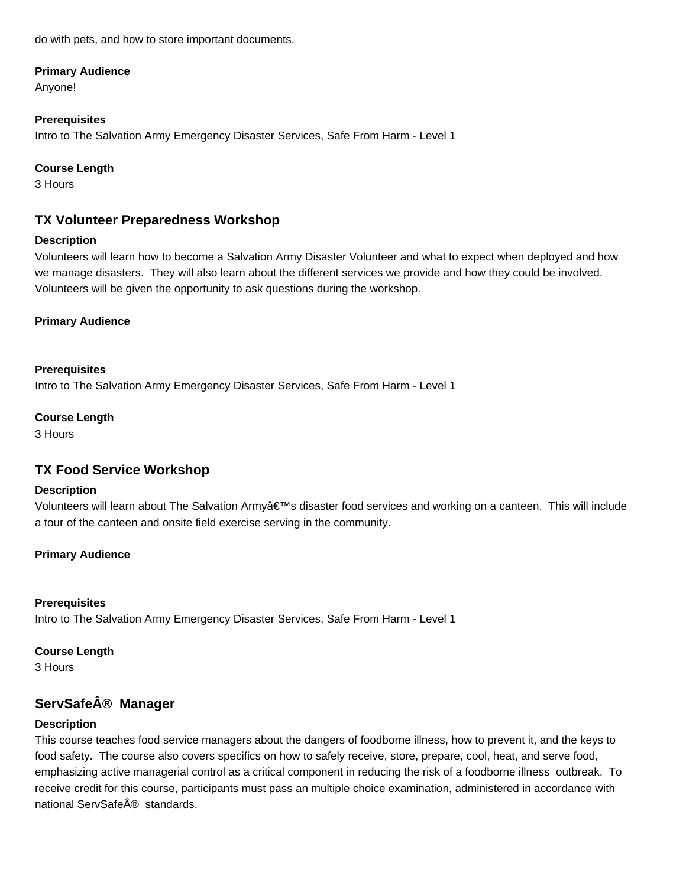do with pets, and how to store important documents.

#### **Primary Audience**

Anyone!

### **Prerequisites**

Intro to The Salvation Army Emergency Disaster Services, Safe From Harm - Level 1

### **Course Length**

3 Hours

# **TX Volunteer Preparedness Workshop**

### **Description**

Volunteers will learn how to become a Salvation Army Disaster Volunteer and what to expect when deployed and how we manage disasters. They will also learn about the different services we provide and how they could be involved. Volunteers will be given the opportunity to ask questions during the workshop.

### **Primary Audience**

### **Prerequisites**

Intro to The Salvation Army Emergency Disaster Services, Safe From Harm - Level 1

### **Course Length**

3 Hours

# **TX Food Service Workshop**

### **Description**

Volunteers will learn about The Salvation Army's disaster food services and working on a canteen. This will include a tour of the canteen and onsite field exercise serving in the community.

# **Primary Audience**

### **Prerequisites**

Intro to The Salvation Army Emergency Disaster Services, Safe From Harm - Level 1

### **Course Length**

3 Hours

# **ServSafe® Manager**

# **Description**

This course teaches food service managers about the dangers of foodborne illness, how to prevent it, and the keys to food safety. The course also covers specifics on how to safely receive, store, prepare, cool, heat, and serve food, emphasizing active managerial control as a critical component in reducing the risk of a foodborne illness outbreak. To receive credit for this course, participants must pass an multiple choice examination, administered in accordance with national ServSafe® standards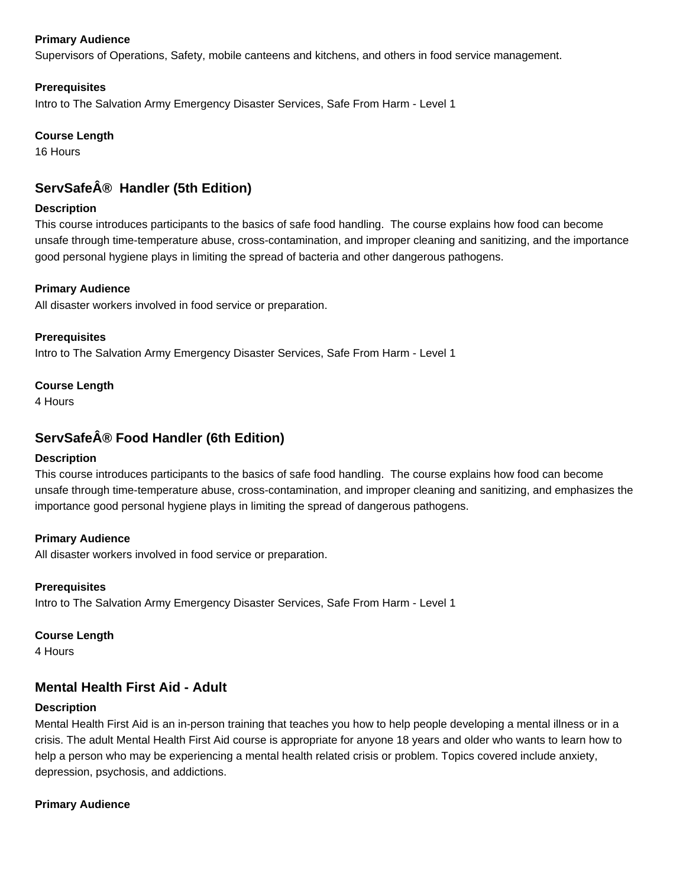### **Primary Audience**

Supervisors of Operations, Safety, mobile canteens and kitchens, and others in food service management.

### **Prerequisites**

Intro to The Salvation Army Emergency Disaster Services, Safe From Harm - Level 1

### **Course Length**

16 Hours

# **ServSafe® Handler (5th Edition)**

### **Description**

This course introduces participants to the basics of safe food handling. The course explains how food can become unsafe through time-temperature abuse, cross-contamination, and improper cleaning and sanitizing, and the importance good personal hygiene plays in limiting the spread of bacteria and other dangerous pathogens.

### **Primary Audience**

All disaster workers involved in food service or preparation.

**Prerequisites** Intro to The Salvation Army Emergency Disaster Services, Safe From Harm - Level 1

### **Course Length**

4 Hours

# **ServSafe® Food Handler (6th Edition)**

### **Description**

This course introduces participants to the basics of safe food handling. The course explains how food can become unsafe through time-temperature abuse, cross-contamination, and improper cleaning and sanitizing, and emphasizes the importance good personal hygiene plays in limiting the spread of dangerous pathogens.

### **Primary Audience**

All disaster workers involved in food service or preparation.

# **Prerequisites**

Intro to The Salvation Army Emergency Disaster Services, Safe From Harm - Level 1

### **Course Length**

4 Hours

# **Mental Health First Aid - Adult**

### **Description**

Mental Health First Aid is an in-person training that teaches you how to help people developing a mental illness or in a crisis. The adult Mental Health First Aid course is appropriate for anyone 18 years and older who wants to learn how to help a person who may be experiencing a mental health related crisis or problem. Topics covered include anxiety, depression, psychosis, and addictions.

### **Primary Audience**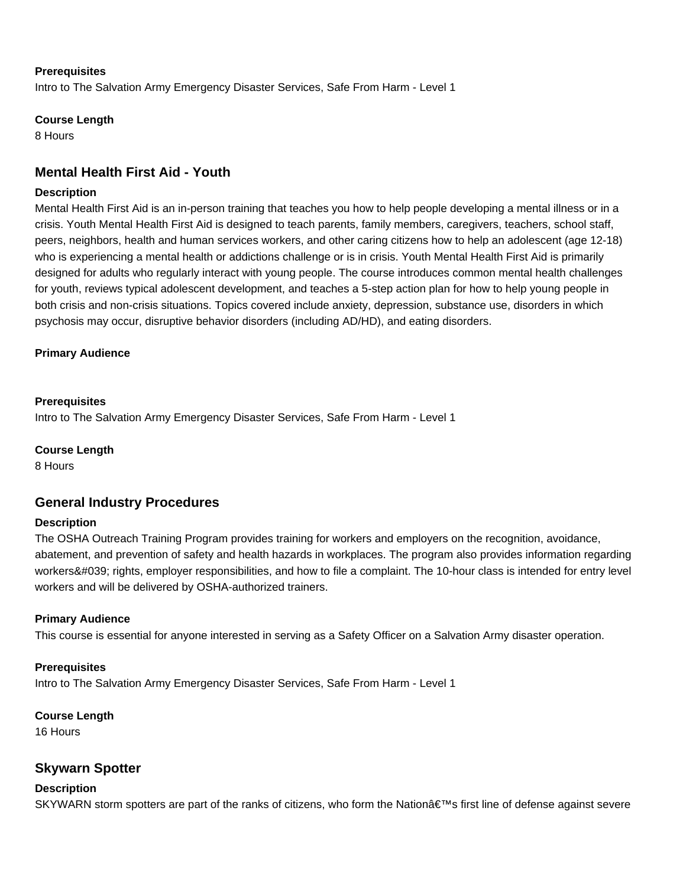#### **Prerequisites**

Intro to The Salvation Army Emergency Disaster Services, Safe From Harm - Level 1

#### **Course Length**

8 Hours

# **Mental Health First Aid - Youth**

#### **Description**

Mental Health First Aid is an in-person training that teaches you how to help people developing a mental illness or in a crisis. Youth Mental Health First Aid is designed to teach parents, family members, caregivers, teachers, school staff, peers, neighbors, health and human services workers, and other caring citizens how to help an adolescent (age 12-18) who is experiencing a mental health or addictions challenge or is in crisis. Youth Mental Health First Aid is primarily designed for adults who regularly interact with young people. The course introduces common mental health challenges for youth, reviews typical adolescent development, and teaches a 5-step action plan for how to help young people in both crisis and non-crisis situations. Topics covered include anxiety, depression, substance use, disorders in which psychosis may occur, disruptive behavior disorders (including AD/HD), and eating disorders.

### **Primary Audience**

#### **Prerequisites**

Intro to The Salvation Army Emergency Disaster Services, Safe From Harm - Level 1

#### **Course Length**

8 Hours

# **General Industry Procedures**

#### **Description**

The OSHA Outreach Training Program provides training for workers and employers on the recognition, avoidance, abatement, and prevention of safety and health hazards in workplaces. The program also provides information regarding workers' rights, employer responsibilities, and how to file a complaint. The 10-hour class is intended for entry level workers and will be delivered by OSHA-authorized trainers.

### **Primary Audience**

This course is essential for anyone interested in serving as a Safety Officer on a Salvation Army disaster operation.

#### **Prerequisites**

Intro to The Salvation Army Emergency Disaster Services, Safe From Harm - Level 1

#### **Course Length**

16 Hours

# **Skywarn Spotter**

#### **Description**

SKYWARN storm spotters are part of the ranks of citizens, who form the Nation's first line of defense against severe